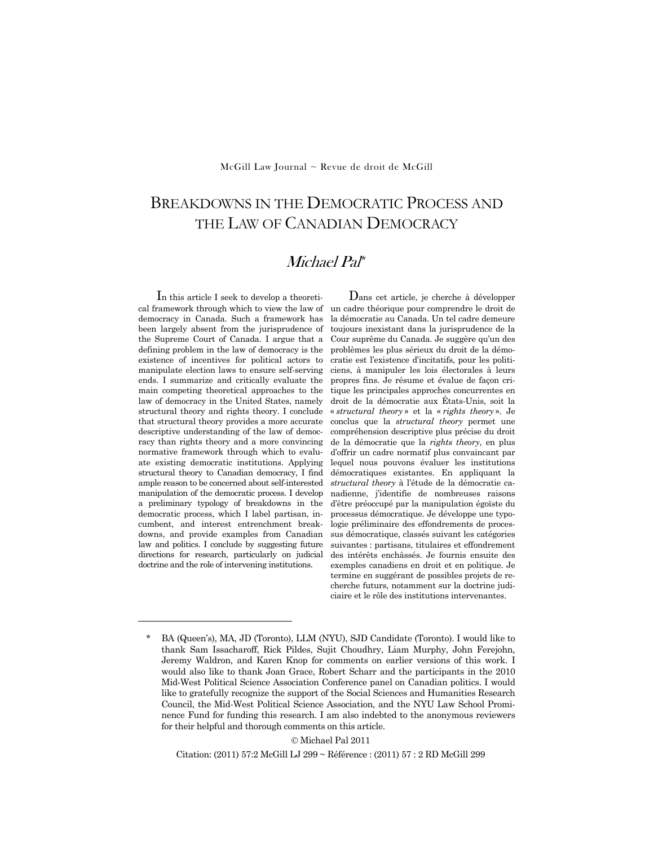$McGill Law Journal \sim Review$ evue de droit de McGill

# BREAKDOWNS IN THE DEMOCRATIC PROCESS AND THE LAW OF CANADIAN DEMOCRACY

## Michael Pal<sup>\*</sup>

 In this article I seek to develop a theoretical framework through which to view the law of democracy in Canada. Such a framework has been largely absent from the jurisprudence of the Supreme Court of Canada. I argue that a defining problem in the law of democracy is the existence of incentives for political actors to manipulate election laws to ensure self-serving ends. I summarize and critically evaluate the main competing theoretical approaches to the law of democracy in the United States, namely structural theory and rights theory. I conclude that structural theory provides a more accurate descriptive understanding of the law of democracy than rights theory and a more convincing normative framework through which to evaluate existing democratic institutions. Applying structural theory to Canadian democracy, I find ample reason to be concerned about self-interested manipulation of the democratic process. I develop a preliminary typology of breakdowns in the democratic process, which I label partisan, incumbent, and interest entrenchment breakdowns, and provide examples from Canadian law and politics. I conclude by suggesting future directions for research, particularly on judicial doctrine and the role of intervening institutions.

-

Dans cet article, je cherche à développer un cadre théorique pour comprendre le droit de la démocratie au Canada. Un tel cadre demeure toujours inexistant dans la jurisprudence de la Cour suprême du Canada. Je suggère qu'un des problèmes les plus sérieux du droit de la démocratie est l'existence d'incitatifs, pour les politiciens, à manipuler les lois électorales à leurs propres fins. Je résume et évalue de façon critique les principales approches concurrentes en droit de la démocratie aux États-Unis, soit la « *structural theory* » et la « *rights theory* ». Je conclus que la *structural theory* permet une compréhension descriptive plus précise du droit de la démocratie que la *rights theory*, en plus d'offrir un cadre normatif plus convaincant par lequel nous pouvons évaluer les institutions démocratiques existantes. En appliquant la *structural theory* à l'étude de la démocratie canadienne, j'identifie de nombreuses raisons d'être préoccupé par la manipulation égoïste du processus démocratique. Je développe une typologie préliminaire des effondrements de processus démocratique, classés suivant les catégories suivantes : partisans, titulaires et effondrement des intérêts enchâssés. Je fournis ensuite des exemples canadiens en droit et en politique. Je termine en suggérant de possibles projets de recherche futurs, notamment sur la doctrine judiciaire et le rôle des institutions intervenantes.

© Michael Pal 2011

Citation: (2011) 57:2 McGill LJ 299 ~ Référence : (2011) 57 : 2 RD McGill 299

<sup>\*</sup> BA (Queen's), MA, JD (Toronto), LLM (NYU), SJD Candidate (Toronto). I would like to thank Sam Issacharoff, Rick Pildes, Sujit Choudhry, Liam Murphy, John Ferejohn, Jeremy Waldron, and Karen Knop for comments on earlier versions of this work. I would also like to thank Joan Grace, Robert Scharr and the participants in the 2010 Mid-West Political Science Association Conference panel on Canadian politics. I would like to gratefully recognize the support of the Social Sciences and Humanities Research Council, the Mid-West Political Science Association, and the NYU Law School Prominence Fund for funding this research. I am also indebted to the anonymous reviewers for their helpful and thorough comments on this article.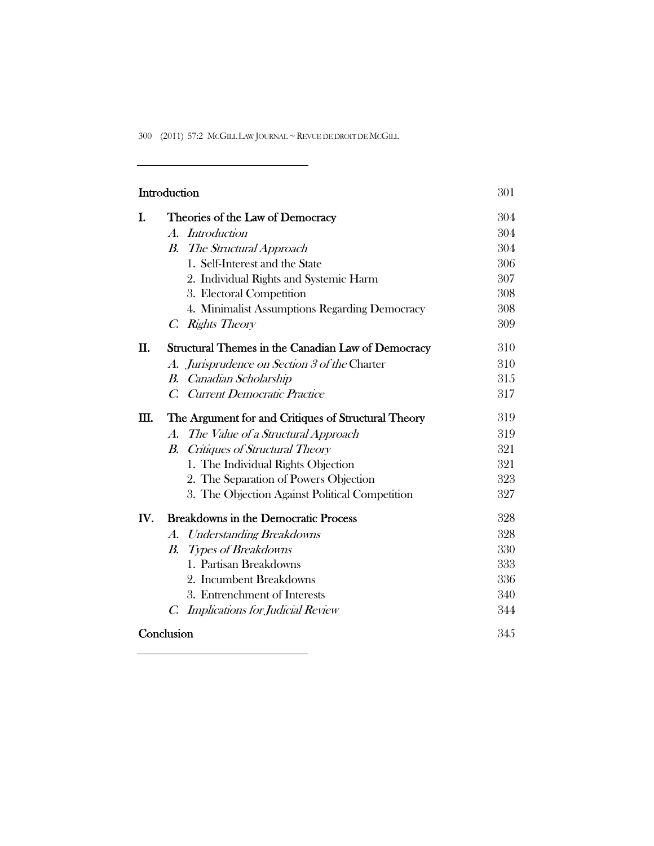| Introduction |                                                     | 301 |
|--------------|-----------------------------------------------------|-----|
| I.           | Theories of the Law of Democracy                    | 304 |
|              | A. Introduction                                     | 304 |
|              | <b>B.</b> The Structural Approach                   | 304 |
|              | 1. Self-Interest and the State                      | 306 |
|              | 2. Individual Rights and Systemic Harm              | 307 |
|              | 3. Electoral Competition                            | 308 |
|              | 4. Minimalist Assumptions Regarding Democracy       | 308 |
|              | C. Rights Theory                                    | 309 |
| П.           | Structural Themes in the Canadian Law of Democracy  | 310 |
|              | A. Jurisprudence on Section 3 of the Charter        | 310 |
|              | <b>B.</b> Canadian Scholarship                      | 315 |
|              | C. Current Democratic Practice                      | 317 |
| Ш.           | The Argument for and Critiques of Structural Theory | 319 |
|              | A. The Value of a Structural Approach               | 319 |
|              | Critiques of Structural Theory<br>B.                | 321 |
|              | 1. The Individual Rights Objection                  | 321 |
|              | 2. The Separation of Powers Objection               | 323 |
|              | 3. The Objection Against Political Competition      | 327 |
| IV.          | <b>Breakdowns in the Democratic Process</b>         | 328 |
|              | A. Understanding Breakdowns                         | 328 |
|              | <b>B.</b> Types of Breakdowns                       | 330 |
|              | 1. Partisan Breakdowns                              | 333 |
|              | 2. Incumbent Breakdowns                             | 336 |
|              | 3. Entrenchment of Interests                        | 340 |
|              | C. Implications for Judicial Review                 | 344 |
| Conclusion   |                                                     | 345 |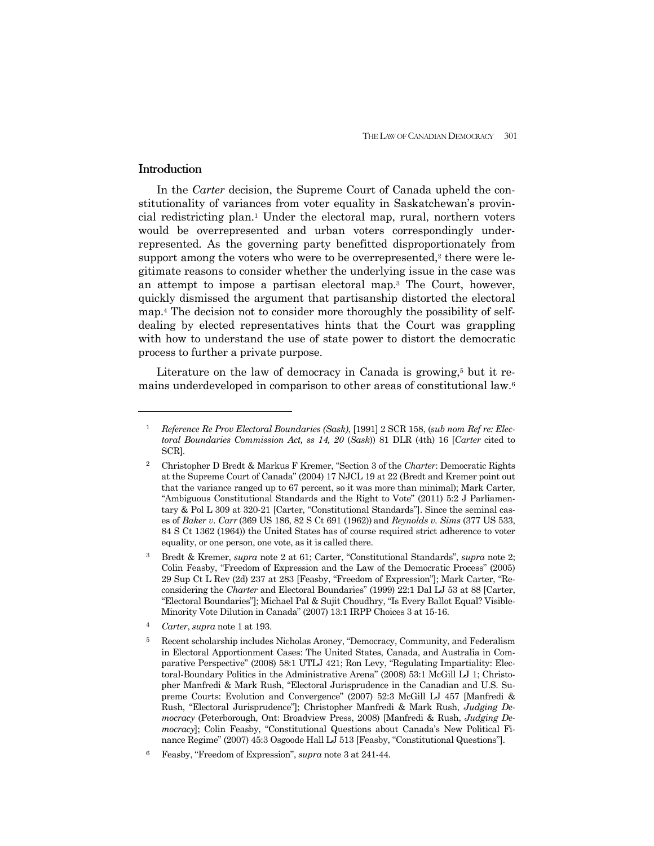## **Introduction**

-

 In the *Carter* decision, the Supreme Court of Canada upheld the constitutionality of variances from voter equality in Saskatchewan's provincial redistricting plan.1 Under the electoral map, rural, northern voters would be overrepresented and urban voters correspondingly underrepresented. As the governing party benefitted disproportionately from support among the voters who were to be overrepresented,<sup>2</sup> there were legitimate reasons to consider whether the underlying issue in the case was an attempt to impose a partisan electoral map.3 The Court, however, quickly dismissed the argument that partisanship distorted the electoral map.4 The decision not to consider more thoroughly the possibility of selfdealing by elected representatives hints that the Court was grappling with how to understand the use of state power to distort the democratic process to further a private purpose.

Literature on the law of democracy in Canada is growing,<sup>5</sup> but it remains underdeveloped in comparison to other areas of constitutional law.6

4 *Carter*, *supra* note 1 at 193.

<sup>1</sup> *Reference Re Prov Electoral Boundaries (Sask)*, [1991] 2 SCR 158, (*sub nom Ref re: Electoral Boundaries Commission Act, ss 14, 20* (*Sask*)) 81 DLR (4th) 16 [*Carter* cited to SCR].

<sup>2</sup> Christopher D Bredt & Markus F Kremer, "Section 3 of the *Charter*: Democratic Rights at the Supreme Court of Canada" (2004) 17 NJCL 19 at 22 (Bredt and Kremer point out that the variance ranged up to 67 percent, so it was more than minimal); Mark Carter, "Ambiguous Constitutional Standards and the Right to Vote" (2011) 5:2 J Parliamentary & Pol L 309 at 320-21 [Carter, "Constitutional Standards"]. Since the seminal cases of *Baker v. Carr* (369 US 186, 82 S Ct 691 (1962)) and *Reynolds v. Sims* (377 US 533, 84 S Ct 1362 (1964)) the United States has of course required strict adherence to voter equality, or one person, one vote, as it is called there.

<sup>3</sup> Bredt & Kremer, *supra* note 2 at 61; Carter, "Constitutional Standards", *supra* note 2; Colin Feasby, "Freedom of Expression and the Law of the Democratic Process" (2005) 29 Sup Ct L Rev (2d) 237 at 283 [Feasby, "Freedom of Expression"]; Mark Carter, "Reconsidering the *Charter* and Electoral Boundaries" (1999) 22:1 Dal LJ 53 at 88 [Carter, "Electoral Boundaries"]; Michael Pal & Sujit Choudhry, "Is Every Ballot Equal? Visible-Minority Vote Dilution in Canada" (2007) 13:1 IRPP Choices 3 at 15-16.

<sup>5</sup> Recent scholarship includes Nicholas Aroney, "Democracy, Community, and Federalism in Electoral Apportionment Cases: The United States, Canada, and Australia in Comparative Perspective" (2008) 58:1 UTLJ 421; Ron Levy, "Regulating Impartiality: Electoral-Boundary Politics in the Administrative Arena" (2008) 53:1 McGill LJ 1; Christopher Manfredi & Mark Rush, "Electoral Jurisprudence in the Canadian and U.S. Supreme Courts: Evolution and Convergence" (2007) 52:3 McGill LJ 457 [Manfredi & Rush, "Electoral Jurisprudence"]; Christopher Manfredi & Mark Rush, *Judging Democracy* (Peterborough, Ont: Broadview Press, 2008) [Manfredi & Rush, *Judging Democracy*]; Colin Feasby, "Constitutional Questions about Canada's New Political Finance Regime" (2007) 45:3 Osgoode Hall LJ 513 [Feasby, "Constitutional Questions"].

<sup>6</sup> Feasby, "Freedom of Expression", *supra* note 3 at 241-44.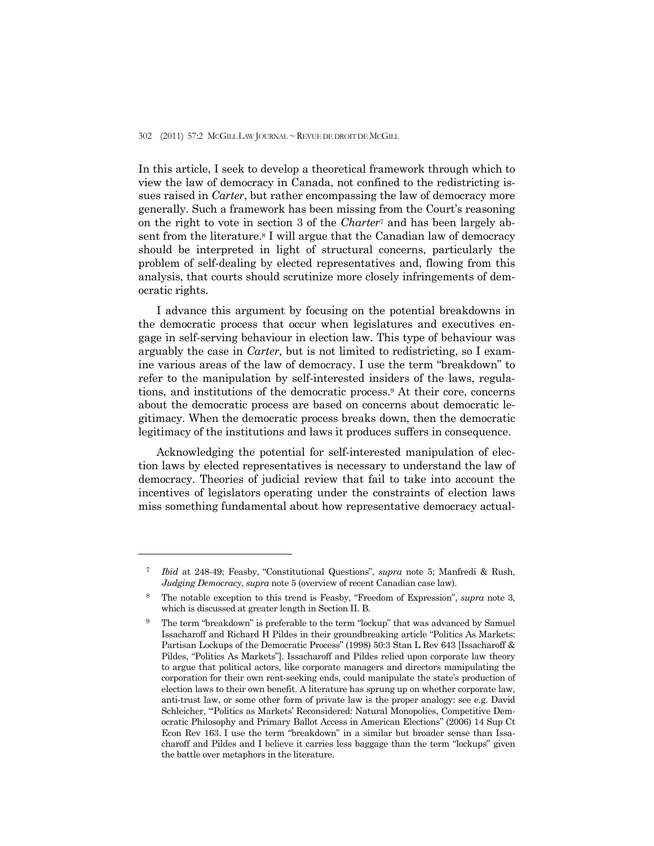In this article, I seek to develop a theoretical framework through which to view the law of democracy in Canada, not confined to the redistricting issues raised in *Carter*, but rather encompassing the law of democracy more generally. Such a framework has been missing from the Court's reasoning on the right to vote in section 3 of the *Charter*7 and has been largely absent from the literature.<sup>8</sup> I will argue that the Canadian law of democracy should be interpreted in light of structural concerns, particularly the problem of self-dealing by elected representatives and, flowing from this analysis, that courts should scrutinize more closely infringements of democratic rights.

 I advance this argument by focusing on the potential breakdowns in the democratic process that occur when legislatures and executives engage in self-serving behaviour in election law. This type of behaviour was arguably the case in *Carter,* but is not limited to redistricting, so I examine various areas of the law of democracy. I use the term "breakdown" to refer to the manipulation by self-interested insiders of the laws, regulations, and institutions of the democratic process.9 At their core, concerns about the democratic process are based on concerns about democratic legitimacy. When the democratic process breaks down, then the democratic legitimacy of the institutions and laws it produces suffers in consequence.

 Acknowledging the potential for self-interested manipulation of election laws by elected representatives is necessary to understand the law of democracy. Theories of judicial review that fail to take into account the incentives of legislators operating under the constraints of election laws miss something fundamental about how representative democracy actual-

<sup>7</sup> *Ibid* at 248-49; Feasby, "Constitutional Questions", *supra* note 5; Manfredi & Rush, *Judging Democracy*, *supra* note 5 (overview of recent Canadian case law).

<sup>8</sup> The notable exception to this trend is Feasby, "Freedom of Expression", *supra* note 3, which is discussed at greater length in Section II. B*.* 

<sup>&</sup>lt;sup>9</sup> The term "breakdown" is preferable to the term "lockup" that was advanced by Samuel Issacharoff and Richard H Pildes in their groundbreaking article "Politics As Markets: Partisan Lockups of the Democratic Process" (1998) 50:3 Stan L Rev 643 [Issacharoff & Pildes, "Politics As Markets"]. Issacharoff and Pildes relied upon corporate law theory to argue that political actors, like corporate managers and directors manipulating the corporation for their own rent-seeking ends, could manipulate the state's production of election laws to their own benefit. A literature has sprung up on whether corporate law, anti-trust law, or some other form of private law is the proper analogy: see e.g. David Schleicher, "'Politics as Markets' Reconsidered: Natural Monopolies, Competitive Democratic Philosophy and Primary Ballot Access in American Elections" (2006) 14 Sup Ct Econ Rev 163. I use the term "breakdown" in a similar but broader sense than Issacharoff and Pildes and I believe it carries less baggage than the term "lockups" given the battle over metaphors in the literature.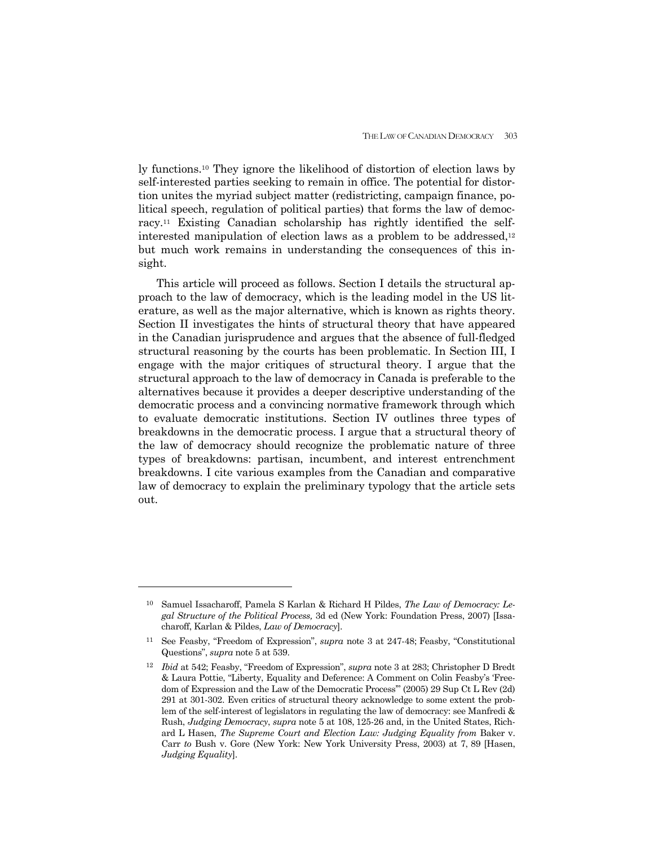ly functions.10 They ignore the likelihood of distortion of election laws by self-interested parties seeking to remain in office. The potential for distortion unites the myriad subject matter (redistricting, campaign finance, political speech, regulation of political parties) that forms the law of democracy.11 Existing Canadian scholarship has rightly identified the selfinterested manipulation of election laws as a problem to be addressed, $12$ but much work remains in understanding the consequences of this insight.

 This article will proceed as follows. Section I details the structural approach to the law of democracy, which is the leading model in the US literature, as well as the major alternative, which is known as rights theory. Section II investigates the hints of structural theory that have appeared in the Canadian jurisprudence and argues that the absence of full-fledged structural reasoning by the courts has been problematic. In Section III, I engage with the major critiques of structural theory. I argue that the structural approach to the law of democracy in Canada is preferable to the alternatives because it provides a deeper descriptive understanding of the democratic process and a convincing normative framework through which to evaluate democratic institutions. Section IV outlines three types of breakdowns in the democratic process. I argue that a structural theory of the law of democracy should recognize the problematic nature of three types of breakdowns: partisan, incumbent, and interest entrenchment breakdowns. I cite various examples from the Canadian and comparative law of democracy to explain the preliminary typology that the article sets out.

<sup>10</sup> Samuel Issacharoff, Pamela S Karlan & Richard H Pildes, *The Law of Democracy: Legal Structure of the Political Process,* 3d ed (New York: Foundation Press, 2007) [Issacharoff, Karlan & Pildes, *Law of Democracy*].

<sup>11</sup> See Feasby, "Freedom of Expression", *supra* note 3 at 247-48; Feasby, "Constitutional Questions", *supra* note 5 at 539.

<sup>12</sup> *Ibid* at 542; Feasby, "Freedom of Expression", *supra* note 3 at 283; Christopher D Bredt & Laura Pottie, "Liberty, Equality and Deference: A Comment on Colin Feasby's 'Freedom of Expression and the Law of the Democratic Process'" (2005) 29 Sup Ct L Rev (2d) 291 at 301-302. Even critics of structural theory acknowledge to some extent the problem of the self-interest of legislators in regulating the law of democracy: see Manfredi & Rush, *Judging Democracy*, *supra* note 5 at 108, 125-26 and, in the United States, Richard L Hasen, *The Supreme Court and Election Law: Judging Equality from* Baker v. Carr *to* Bush v. Gore (New York: New York University Press, 2003) at 7, 89 [Hasen, *Judging Equality*].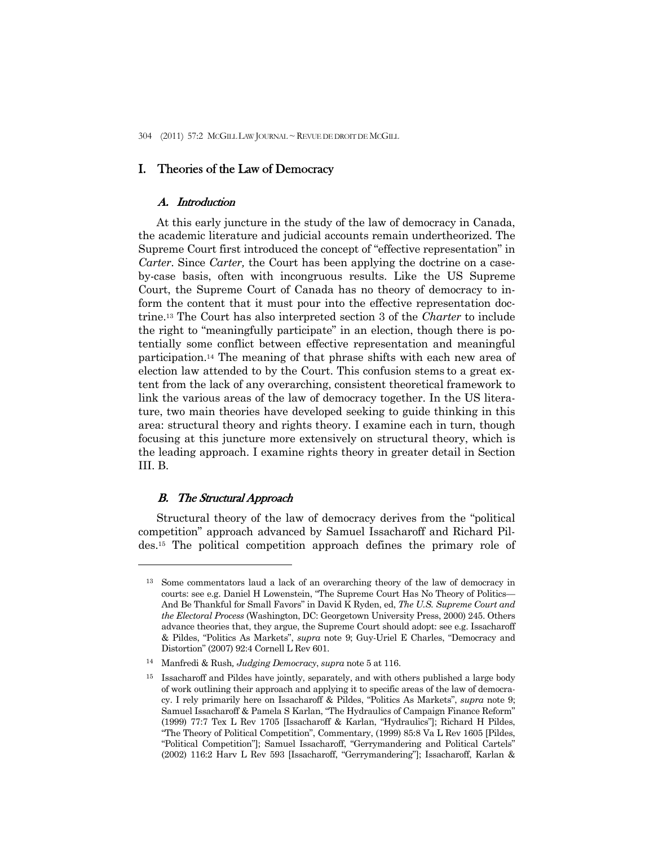## I. Theories of the Law of Democracy

## A. Introduction

 At this early juncture in the study of the law of democracy in Canada, the academic literature and judicial accounts remain undertheorized. The Supreme Court first introduced the concept of "effective representation" in *Carter*. Since *Carter,* the Court has been applying the doctrine on a caseby-case basis, often with incongruous results. Like the US Supreme Court, the Supreme Court of Canada has no theory of democracy to inform the content that it must pour into the effective representation doctrine.13 The Court has also interpreted section 3 of the *Charter* to include the right to "meaningfully participate" in an election, though there is potentially some conflict between effective representation and meaningful participation.14 The meaning of that phrase shifts with each new area of election law attended to by the Court. This confusion stems to a great extent from the lack of any overarching, consistent theoretical framework to link the various areas of the law of democracy together. In the US literature, two main theories have developed seeking to guide thinking in this area: structural theory and rights theory. I examine each in turn, though focusing at this juncture more extensively on structural theory, which is the leading approach. I examine rights theory in greater detail in Section III. B.

## B. The Structural Approach

-

 Structural theory of the law of democracy derives from the "political competition" approach advanced by Samuel Issacharoff and Richard Pildes.15 The political competition approach defines the primary role of

<sup>13</sup> Some commentators laud a lack of an overarching theory of the law of democracy in courts: see e.g. Daniel H Lowenstein, "The Supreme Court Has No Theory of Politics— And Be Thankful for Small Favors" in David K Ryden, ed, *The U.S. Supreme Court and the Electoral Process* (Washington, DC: Georgetown University Press, 2000) 245. Others advance theories that, they argue, the Supreme Court should adopt: see e.g. Issacharoff & Pildes, "Politics As Markets", *supra* note 9; Guy-Uriel E Charles, "Democracy and Distortion" (2007) 92:4 Cornell L Rev 601.

<sup>14</sup> Manfredi & Rush*, Judging Democracy*, *supra* note 5 at 116.

<sup>&</sup>lt;sup>15</sup> Issacharoff and Pildes have jointly, separately, and with others published a large body of work outlining their approach and applying it to specific areas of the law of democracy. I rely primarily here on Issacharoff & Pildes, "Politics As Markets", *supra* note 9; Samuel Issacharoff & Pamela S Karlan, "The Hydraulics of Campaign Finance Reform" (1999) 77:7 Tex L Rev 1705 [Issacharoff & Karlan, "Hydraulics"]; Richard H Pildes, "The Theory of Political Competition", Commentary, (1999) 85:8 Va L Rev 1605 [Pildes, "Political Competition"]; Samuel Issacharoff, "Gerrymandering and Political Cartels" (2002) 116:2 Harv L Rev 593 [Issacharoff, "Gerrymandering"]; Issacharoff, Karlan &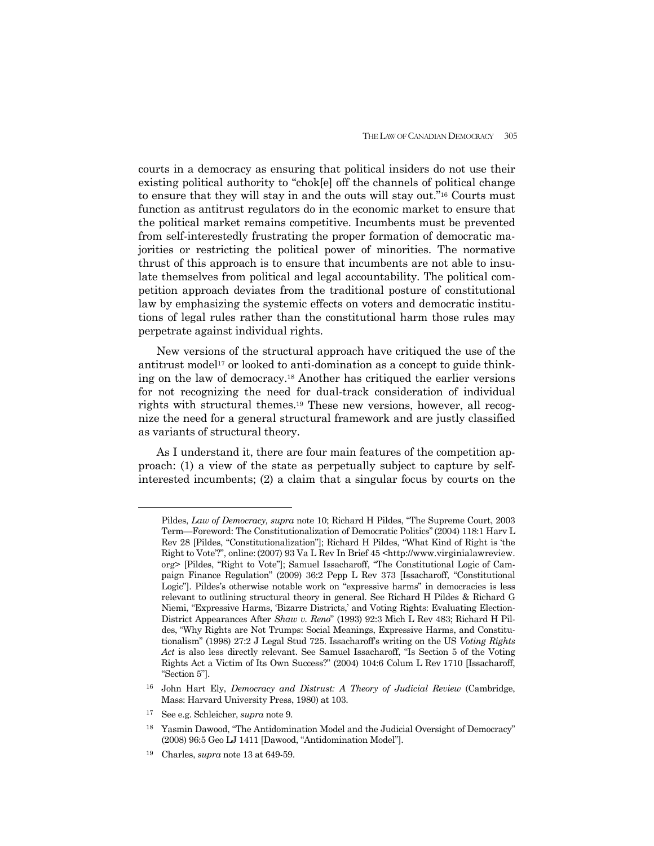courts in a democracy as ensuring that political insiders do not use their existing political authority to "chok[e] off the channels of political change to ensure that they will stay in and the outs will stay out."16 Courts must function as antitrust regulators do in the economic market to ensure that the political market remains competitive. Incumbents must be prevented from self-interestedly frustrating the proper formation of democratic majorities or restricting the political power of minorities. The normative thrust of this approach is to ensure that incumbents are not able to insulate themselves from political and legal accountability. The political competition approach deviates from the traditional posture of constitutional law by emphasizing the systemic effects on voters and democratic institutions of legal rules rather than the constitutional harm those rules may perpetrate against individual rights.

 New versions of the structural approach have critiqued the use of the antitrust model<sup>17</sup> or looked to anti-domination as a concept to guide thinking on the law of democracy.18 Another has critiqued the earlier versions for not recognizing the need for dual-track consideration of individual rights with structural themes.19 These new versions, however, all recognize the need for a general structural framework and are justly classified as variants of structural theory.

 As I understand it, there are four main features of the competition approach: (1) a view of the state as perpetually subject to capture by selfinterested incumbents; (2) a claim that a singular focus by courts on the

 $\overline{a}$ 

Pildes, *Law of Democracy, supra* note 10; Richard H Pildes, "The Supreme Court, 2003 Term—Foreword: The Constitutionalization of Democratic Politics"(2004) 118:1 Harv L Rev 28 [Pildes, "Constitutionalization"]; Richard H Pildes, "What Kind of Right is 'the Right to Vote'?", online:(2007) 93 Va L Rev In Brief 45 <http://www.virginialawreview. org> [Pildes, "Right to Vote"]; Samuel Issacharoff, "The Constitutional Logic of Campaign Finance Regulation" (2009) 36:2 Pepp L Rev 373 [Issacharoff, "Constitutional Logic"]. Pildes's otherwise notable work on "expressive harms" in democracies is less relevant to outlining structural theory in general. See Richard H Pildes & Richard G Niemi, "Expressive Harms, 'Bizarre Districts,' and Voting Rights: Evaluating Election-District Appearances After *Shaw v. Reno*" (1993) 92:3 Mich L Rev 483; Richard H Pildes, "Why Rights are Not Trumps: Social Meanings, Expressive Harms, and Constitutionalism" (1998) 27:2 J Legal Stud 725. Issacharoff's writing on the US *Voting Rights Act* is also less directly relevant. See Samuel Issacharoff, "Is Section 5 of the Voting Rights Act a Victim of Its Own Success?" (2004) 104:6 Colum L Rev 1710 [Issacharoff, "Section 5"].

<sup>16</sup> John Hart Ely, *Democracy and Distrust: A Theory of Judicial Review* (Cambridge, Mass: Harvard University Press, 1980) at 103.

<sup>17</sup> See e.g. Schleicher, *supra* note 9.

<sup>18</sup> Yasmin Dawood, "The Antidomination Model and the Judicial Oversight of Democracy" (2008) 96:5 Geo LJ 1411 [Dawood, "Antidomination Model"].

<sup>19</sup> Charles, *supra* note 13 at 649-59.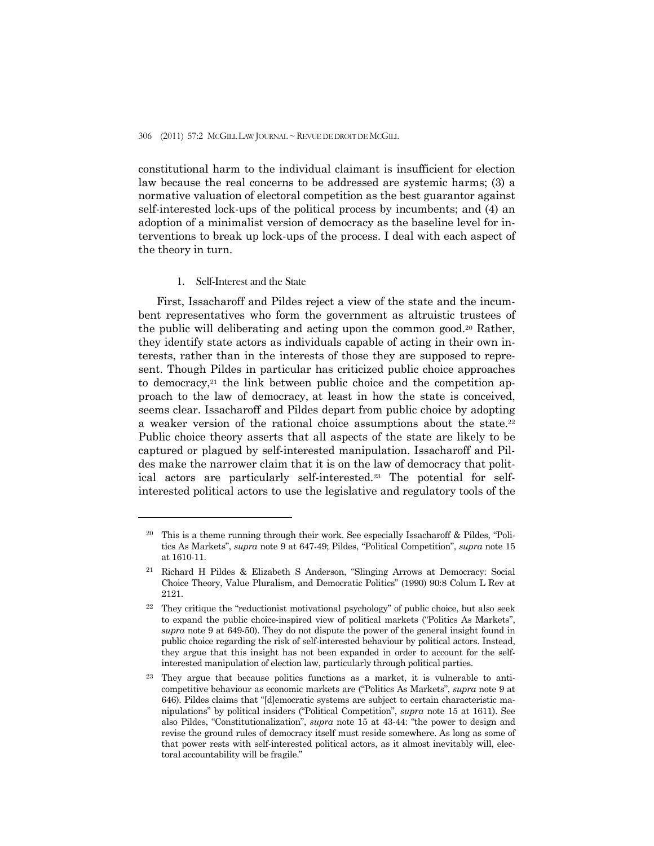constitutional harm to the individual claimant is insufficient for election law because the real concerns to be addressed are systemic harms; (3) a normative valuation of electoral competition as the best guarantor against self-interested lock-ups of the political process by incumbents; and (4) an adoption of a minimalist version of democracy as the baseline level for interventions to break up lock-ups of the process. I deal with each aspect of the theory in turn.

#### 1. Self-Interest and the State

-

 First, Issacharoff and Pildes reject a view of the state and the incumbent representatives who form the government as altruistic trustees of the public will deliberating and acting upon the common good.20 Rather, they identify state actors as individuals capable of acting in their own interests, rather than in the interests of those they are supposed to represent. Though Pildes in particular has criticized public choice approaches to democracy,<sup>21</sup> the link between public choice and the competition approach to the law of democracy, at least in how the state is conceived, seems clear. Issacharoff and Pildes depart from public choice by adopting a weaker version of the rational choice assumptions about the state.22 Public choice theory asserts that all aspects of the state are likely to be captured or plagued by self-interested manipulation. Issacharoff and Pildes make the narrower claim that it is on the law of democracy that political actors are particularly self-interested.23 The potential for selfinterested political actors to use the legislative and regulatory tools of the

<sup>&</sup>lt;sup>20</sup> This is a theme running through their work. See especially Issacharoff & Pildes, "Politics As Markets", *supra* note 9 at 647-49; Pildes, "Political Competition", *supra* note 15 at 1610-11.

<sup>21</sup> Richard H Pildes & Elizabeth S Anderson, "Slinging Arrows at Democracy: Social Choice Theory, Value Pluralism, and Democratic Politics" (1990) 90:8 Colum L Rev at 2121.

 $22$  They critique the "reductionist motivational psychology" of public choice, but also seek to expand the public choice-inspired view of political markets ("Politics As Markets", *supra* note 9 at 649-50). They do not dispute the power of the general insight found in public choice regarding the risk of self-interested behaviour by political actors. Instead, they argue that this insight has not been expanded in order to account for the selfinterested manipulation of election law, particularly through political parties.

<sup>&</sup>lt;sup>23</sup> They argue that because politics functions as a market, it is vulnerable to anticompetitive behaviour as economic markets are ("Politics As Markets", *supra* note 9 at 646). Pildes claims that "[d]emocratic systems are subject to certain characteristic manipulations" by political insiders ("Political Competition", *supra* note 15 at 1611). See also Pildes, "Constitutionalization", *supra* note 15 at 43-44: "the power to design and revise the ground rules of democracy itself must reside somewhere. As long as some of that power rests with self-interested political actors, as it almost inevitably will, electoral accountability will be fragile."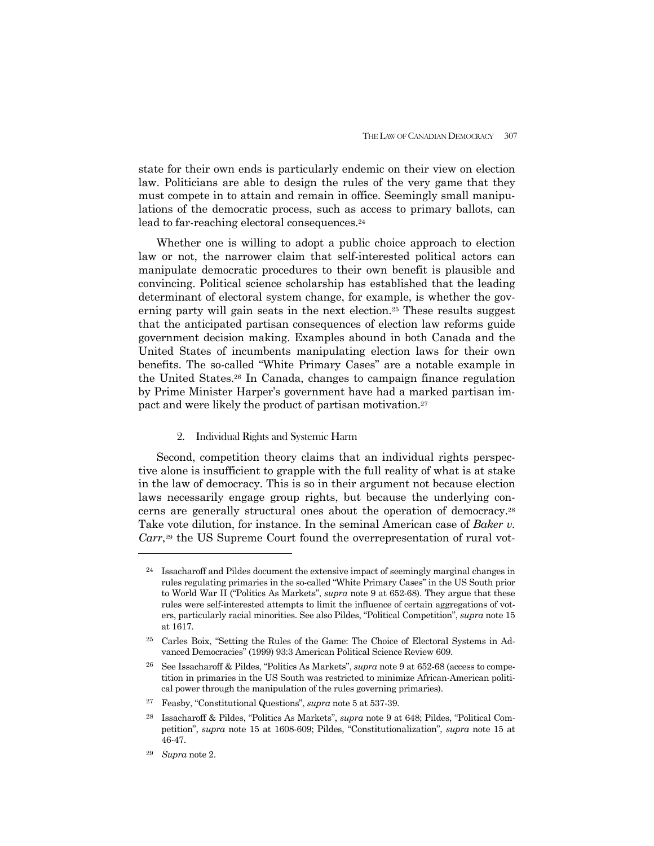state for their own ends is particularly endemic on their view on election law. Politicians are able to design the rules of the very game that they must compete in to attain and remain in office. Seemingly small manipulations of the democratic process, such as access to primary ballots, can lead to far-reaching electoral consequences.<sup>24</sup>

 Whether one is willing to adopt a public choice approach to election law or not, the narrower claim that self-interested political actors can manipulate democratic procedures to their own benefit is plausible and convincing. Political science scholarship has established that the leading determinant of electoral system change, for example, is whether the governing party will gain seats in the next election.<sup>25</sup> These results suggest that the anticipated partisan consequences of election law reforms guide government decision making. Examples abound in both Canada and the United States of incumbents manipulating election laws for their own benefits. The so-called "White Primary Cases" are a notable example in the United States.26 In Canada, changes to campaign finance regulation by Prime Minister Harper's government have had a marked partisan impact and were likely the product of partisan motivation.27

#### 2. Individual Rights and Systemic Harm

 Second, competition theory claims that an individual rights perspective alone is insufficient to grapple with the full reality of what is at stake in the law of democracy. This is so in their argument not because election laws necessarily engage group rights, but because the underlying concerns are generally structural ones about the operation of democracy.28 Take vote dilution, for instance. In the seminal American case of *Baker v. Carr*,29 the US Supreme Court found the overrepresentation of rural vot-

 $24$  Issacharoff and Pildes document the extensive impact of seemingly marginal changes in rules regulating primaries in the so-called "White Primary Cases" in the US South prior to World War II ("Politics As Markets", *supra* note 9 at 652-68). They argue that these rules were self-interested attempts to limit the influence of certain aggregations of voters, particularly racial minorities. See also Pildes, "Political Competition", *supra* note 15 at 1617.

<sup>25</sup> Carles Boix, "Setting the Rules of the Game: The Choice of Electoral Systems in Advanced Democracies" (1999) 93:3 American Political Science Review 609.

<sup>26</sup> See Issacharoff & Pildes, "Politics As Markets", *supra* note 9 at 652-68 (access to competition in primaries in the US South was restricted to minimize African-American political power through the manipulation of the rules governing primaries).

<sup>27</sup> Feasby, "Constitutional Questions", *supra* note 5 at 537-39.

<sup>28</sup> Issacharoff & Pildes, "Politics As Markets", *supra* note 9 at 648; Pildes, "Political Competition", *supra* note 15 at 1608-609; Pildes, "Constitutionalization", *supra* note 15 at 46-47.

<sup>29</sup> *Supra* note 2.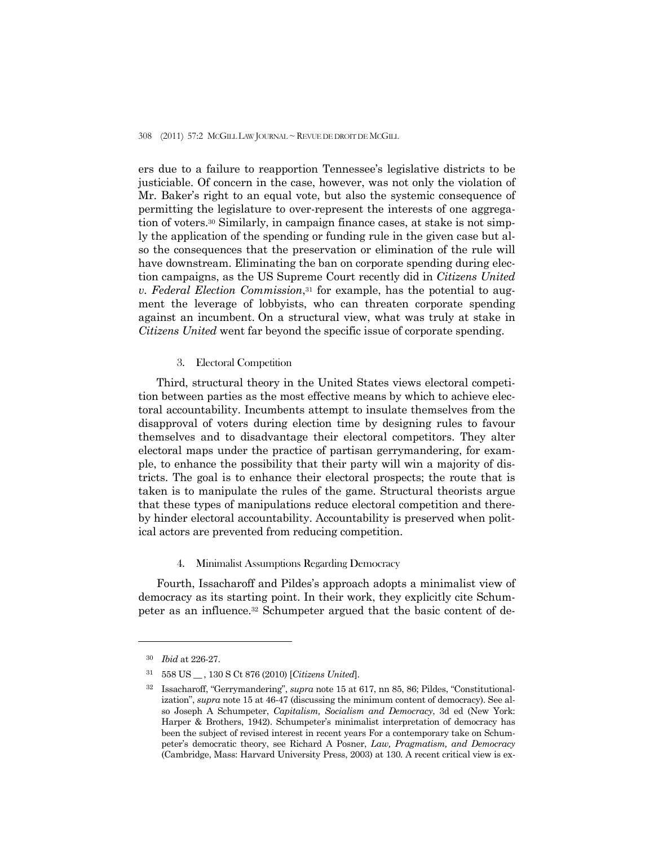ers due to a failure to reapportion Tennessee's legislative districts to be justiciable. Of concern in the case, however, was not only the violation of Mr. Baker's right to an equal vote, but also the systemic consequence of permitting the legislature to over-represent the interests of one aggregation of voters.30 Similarly, in campaign finance cases, at stake is not simply the application of the spending or funding rule in the given case but also the consequences that the preservation or elimination of the rule will have downstream. Eliminating the ban on corporate spending during election campaigns, as the US Supreme Court recently did in *Citizens United v. Federal Election Commission*,31 for example, has the potential to augment the leverage of lobbyists, who can threaten corporate spending against an incumbent. On a structural view, what was truly at stake in *Citizens United* went far beyond the specific issue of corporate spending.

#### 3. Electoral Competition

 Third, structural theory in the United States views electoral competition between parties as the most effective means by which to achieve electoral accountability. Incumbents attempt to insulate themselves from the disapproval of voters during election time by designing rules to favour themselves and to disadvantage their electoral competitors. They alter electoral maps under the practice of partisan gerrymandering, for example, to enhance the possibility that their party will win a majority of districts. The goal is to enhance their electoral prospects; the route that is taken is to manipulate the rules of the game. Structural theorists argue that these types of manipulations reduce electoral competition and thereby hinder electoral accountability. Accountability is preserved when political actors are prevented from reducing competition.

4. Minimalist Assumptions Regarding Democracy

 Fourth, Issacharoff and Pildes's approach adopts a minimalist view of democracy as its starting point. In their work, they explicitly cite Schumpeter as an influence.32 Schumpeter argued that the basic content of de-

<sup>30</sup> *Ibid* at 226-27.

<sup>31 558</sup> US \_\_ , 130 S Ct 876 (2010) [*Citizens United*].

<sup>32</sup> Issacharoff, "Gerrymandering", *supra* note 15 at 617, nn 85, 86; Pildes, "Constitutionalization", *supra* note 15 at 46-47 (discussing the minimum content of democracy). See also Joseph A Schumpeter, *Capitalism, Socialism and Democracy*, 3d ed (New York: Harper & Brothers, 1942). Schumpeter's minimalist interpretation of democracy has been the subject of revised interest in recent years For a contemporary take on Schumpeter's democratic theory, see Richard A Posner, *Law, Pragmatism, and Democracy* (Cambridge, Mass: Harvard University Press, 2003) at 130*.* A recent critical view is ex-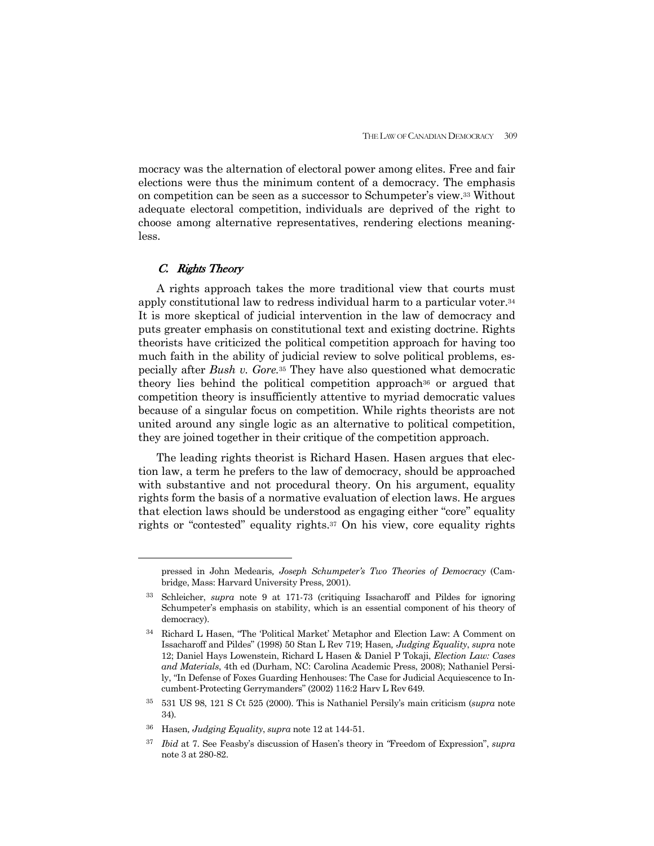mocracy was the alternation of electoral power among elites. Free and fair elections were thus the minimum content of a democracy. The emphasis on competition can be seen as a successor to Schumpeter's view.33 Without adequate electoral competition, individuals are deprived of the right to choose among alternative representatives, rendering elections meaningless.

## C. Rights Theory

 $\overline{a}$ 

 A rights approach takes the more traditional view that courts must apply constitutional law to redress individual harm to a particular voter.34 It is more skeptical of judicial intervention in the law of democracy and puts greater emphasis on constitutional text and existing doctrine. Rights theorists have criticized the political competition approach for having too much faith in the ability of judicial review to solve political problems, especially after *Bush v. Gore.*35 They have also questioned what democratic theory lies behind the political competition approach<sup>36</sup> or argued that competition theory is insufficiently attentive to myriad democratic values because of a singular focus on competition. While rights theorists are not united around any single logic as an alternative to political competition, they are joined together in their critique of the competition approach.

 The leading rights theorist is Richard Hasen. Hasen argues that election law, a term he prefers to the law of democracy, should be approached with substantive and not procedural theory. On his argument, equality rights form the basis of a normative evaluation of election laws. He argues that election laws should be understood as engaging either "core" equality rights or "contested" equality rights.37 On his view, core equality rights

pressed in John Medearis*, Joseph Schumpeter's Two Theories of Democracy* (Cambridge, Mass: Harvard University Press, 2001).

<sup>33</sup> Schleicher, *supra* note 9 at 171-73 (critiquing Issacharoff and Pildes for ignoring Schumpeter's emphasis on stability, which is an essential component of his theory of democracy).

<sup>34</sup> Richard L Hasen, "The 'Political Market' Metaphor and Election Law: A Comment on Issacharoff and Pildes" (1998) 50 Stan L Rev 719; Hasen*, Judging Equality*, *supra* note 12; Daniel Hays Lowenstein, Richard L Hasen & Daniel P Tokaji, *Election Law: Cases and Materials*, 4th ed (Durham, NC: Carolina Academic Press, 2008); Nathaniel Persily, "In Defense of Foxes Guarding Henhouses: The Case for Judicial Acquiescence to Incumbent-Protecting Gerrymanders" (2002) 116:2 Harv L Rev 649.

<sup>35 531</sup> US 98, 121 S Ct 525 (2000). This is Nathaniel Persily's main criticism (*supra* note 34)*.*

<sup>36</sup> Hasen*, Judging Equality*, *supra* note 12 at 144-51.

<sup>37</sup> *Ibid* at 7. See Feasby's discussion of Hasen's theory in *"*Freedom of Expression", *supra*  note 3 at 280-82.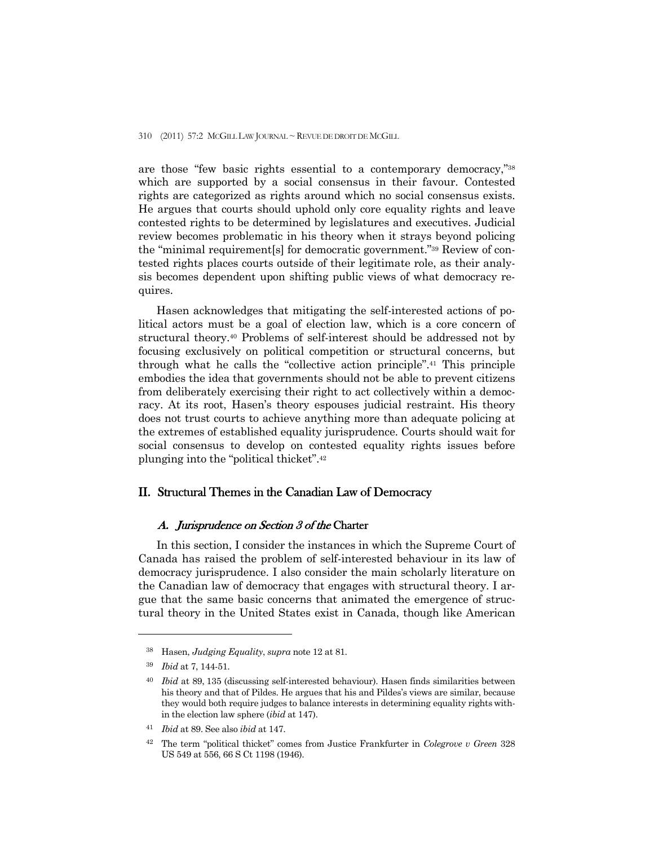are those "few basic rights essential to a contemporary democracy,"38 which are supported by a social consensus in their favour. Contested rights are categorized as rights around which no social consensus exists. He argues that courts should uphold only core equality rights and leave contested rights to be determined by legislatures and executives. Judicial review becomes problematic in his theory when it strays beyond policing the "minimal requirement[s] for democratic government."39 Review of contested rights places courts outside of their legitimate role, as their analysis becomes dependent upon shifting public views of what democracy requires.

 Hasen acknowledges that mitigating the self-interested actions of political actors must be a goal of election law, which is a core concern of structural theory.40 Problems of self-interest should be addressed not by focusing exclusively on political competition or structural concerns, but through what he calls the "collective action principle".41 This principle embodies the idea that governments should not be able to prevent citizens from deliberately exercising their right to act collectively within a democracy. At its root, Hasen's theory espouses judicial restraint. His theory does not trust courts to achieve anything more than adequate policing at the extremes of established equality jurisprudence. Courts should wait for social consensus to develop on contested equality rights issues before plunging into the "political thicket".42

## II. Structural Themes in the Canadian Law of Democracy

## A. Jurisprudence on Section 3 of the Charter

 In this section, I consider the instances in which the Supreme Court of Canada has raised the problem of self-interested behaviour in its law of democracy jurisprudence. I also consider the main scholarly literature on the Canadian law of democracy that engages with structural theory. I argue that the same basic concerns that animated the emergence of structural theory in the United States exist in Canada, though like American

-

41 *Ibid* at 89. See also *ibid* at 147.

<sup>38</sup> Hasen, *Judging Equality*, *supra* note 12 at 81.

<sup>39</sup> *Ibid* at 7, 144-51.

<sup>40</sup> *Ibid* at 89, 135 (discussing self-interested behaviour). Hasen finds similarities between his theory and that of Pildes. He argues that his and Pildes's views are similar, because they would both require judges to balance interests in determining equality rights within the election law sphere (*ibid* at 147).

<sup>42</sup> The term "political thicket" comes from Justice Frankfurter in *Colegrove v Green* 328 US 549 at 556, 66 S Ct 1198 (1946).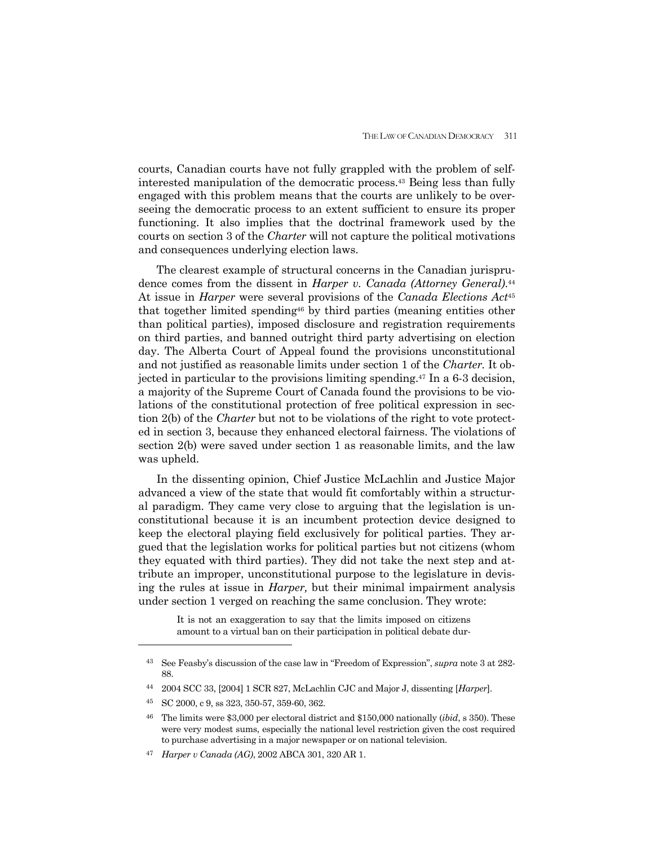courts, Canadian courts have not fully grappled with the problem of selfinterested manipulation of the democratic process.43 Being less than fully engaged with this problem means that the courts are unlikely to be overseeing the democratic process to an extent sufficient to ensure its proper functioning. It also implies that the doctrinal framework used by the courts on section 3 of the *Charter* will not capture the political motivations and consequences underlying election laws.

 The clearest example of structural concerns in the Canadian jurisprudence comes from the dissent in *Harper v. Canada (Attorney General)*.44 At issue in *Harper* were several provisions of the *Canada Elections Act*<sup>45</sup> that together limited spending46 by third parties (meaning entities other than political parties), imposed disclosure and registration requirements on third parties, and banned outright third party advertising on election day. The Alberta Court of Appeal found the provisions unconstitutional and not justified as reasonable limits under section 1 of the *Charter.* It objected in particular to the provisions limiting spending.<sup>47</sup> In a  $6-3$  decision, a majority of the Supreme Court of Canada found the provisions to be violations of the constitutional protection of free political expression in section 2(b) of the *Charter* but not to be violations of the right to vote protected in section 3, because they enhanced electoral fairness. The violations of section 2(b) were saved under section 1 as reasonable limits, and the law was upheld.

 In the dissenting opinion, Chief Justice McLachlin and Justice Major advanced a view of the state that would fit comfortably within a structural paradigm. They came very close to arguing that the legislation is unconstitutional because it is an incumbent protection device designed to keep the electoral playing field exclusively for political parties. They argued that the legislation works for political parties but not citizens (whom they equated with third parties). They did not take the next step and attribute an improper, unconstitutional purpose to the legislature in devising the rules at issue in *Harper,* but their minimal impairment analysis under section 1 verged on reaching the same conclusion. They wrote:

> It is not an exaggeration to say that the limits imposed on citizens amount to a virtual ban on their participation in political debate dur-

<sup>43</sup> See Feasby's discussion of the case law in "Freedom of Expression", *supra* note 3 at 282- 88.

<sup>44 2004</sup> SCC 33, [2004] 1 SCR 827, McLachlin CJC and Major J, dissenting [*Harper*].

<sup>45</sup> SC 2000, c 9, ss 323, 350-57, 359-60, 362.

<sup>46</sup> The limits were \$3,000 per electoral district and \$150,000 nationally (*ibid*, s 350). These were very modest sums, especially the national level restriction given the cost required to purchase advertising in a major newspaper or on national television.

<sup>47</sup> *Harper v Canada (AG)*, 2002 ABCA 301, 320 AR 1.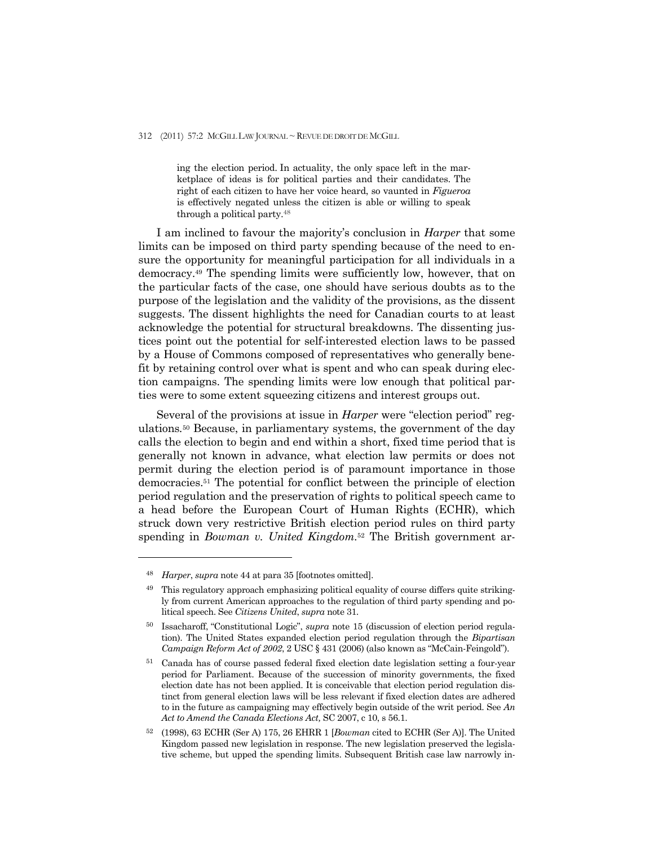ing the election period. In actuality, the only space left in the marketplace of ideas is for political parties and their candidates. The right of each citizen to have her voice heard, so vaunted in *Figueroa* is effectively negated unless the citizen is able or willing to speak through a political party.48

 I am inclined to favour the majority's conclusion in *Harper* that some limits can be imposed on third party spending because of the need to ensure the opportunity for meaningful participation for all individuals in a democracy.49 The spending limits were sufficiently low, however, that on the particular facts of the case, one should have serious doubts as to the purpose of the legislation and the validity of the provisions, as the dissent suggests. The dissent highlights the need for Canadian courts to at least acknowledge the potential for structural breakdowns. The dissenting justices point out the potential for self-interested election laws to be passed by a House of Commons composed of representatives who generally benefit by retaining control over what is spent and who can speak during election campaigns. The spending limits were low enough that political parties were to some extent squeezing citizens and interest groups out.

 Several of the provisions at issue in *Harper* were "election period" regulations*.*50 Because, in parliamentary systems, the government of the day calls the election to begin and end within a short, fixed time period that is generally not known in advance, what election law permits or does not permit during the election period is of paramount importance in those democracies.51 The potential for conflict between the principle of election period regulation and the preservation of rights to political speech came to a head before the European Court of Human Rights (ECHR), which struck down very restrictive British election period rules on third party spending in *Bowman v. United Kingdom.*<sup>52</sup> The British government ar-

<sup>48</sup> *Harper*, *supra* note 44 at para 35 [footnotes omitted].

<sup>&</sup>lt;sup>49</sup> This regulatory approach emphasizing political equality of course differs quite strikingly from current American approaches to the regulation of third party spending and political speech. See *Citizens United*, *supra* note 31*.* 

<sup>50</sup> Issacharoff, "Constitutional Logic", *supra* note 15 (discussion of election period regulation). The United States expanded election period regulation through the *Bipartisan Campaign Reform Act of 2002*, 2 USC § 431 (2006) (also known as "McCain-Feingold").

<sup>51</sup> Canada has of course passed federal fixed election date legislation setting a four-year period for Parliament. Because of the succession of minority governments, the fixed election date has not been applied. It is conceivable that election period regulation distinct from general election laws will be less relevant if fixed election dates are adhered to in the future as campaigning may effectively begin outside of the writ period. See *An Act to Amend the Canada Elections Act,* SC 2007, c 10, s 56.1.

<sup>52 (1998), 63</sup> ECHR (Ser A) 175, 26 EHRR 1 [*Bowman* cited to ECHR (Ser A)]. The United Kingdom passed new legislation in response. The new legislation preserved the legislative scheme, but upped the spending limits. Subsequent British case law narrowly in-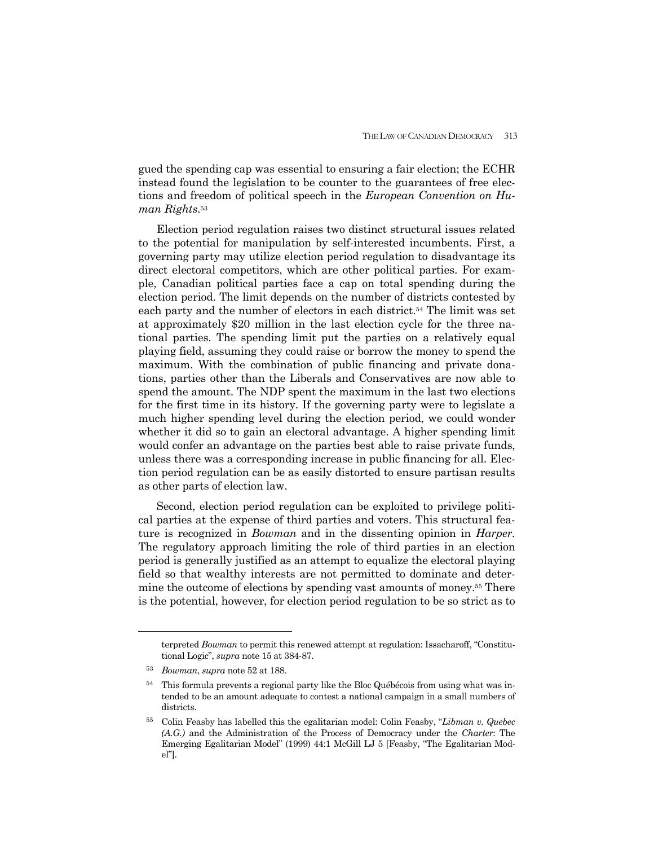gued the spending cap was essential to ensuring a fair election; the ECHR instead found the legislation to be counter to the guarantees of free elections and freedom of political speech in the *European Convention on Human Rights*.53

 Election period regulation raises two distinct structural issues related to the potential for manipulation by self-interested incumbents. First, a governing party may utilize election period regulation to disadvantage its direct electoral competitors, which are other political parties. For example, Canadian political parties face a cap on total spending during the election period. The limit depends on the number of districts contested by each party and the number of electors in each district.54 The limit was set at approximately \$20 million in the last election cycle for the three national parties. The spending limit put the parties on a relatively equal playing field, assuming they could raise or borrow the money to spend the maximum. With the combination of public financing and private donations, parties other than the Liberals and Conservatives are now able to spend the amount. The NDP spent the maximum in the last two elections for the first time in its history. If the governing party were to legislate a much higher spending level during the election period, we could wonder whether it did so to gain an electoral advantage. A higher spending limit would confer an advantage on the parties best able to raise private funds, unless there was a corresponding increase in public financing for all. Election period regulation can be as easily distorted to ensure partisan results as other parts of election law.

 Second, election period regulation can be exploited to privilege political parties at the expense of third parties and voters. This structural feature is recognized in *Bowman* and in the dissenting opinion in *Harper.*  The regulatory approach limiting the role of third parties in an election period is generally justified as an attempt to equalize the electoral playing field so that wealthy interests are not permitted to dominate and determine the outcome of elections by spending vast amounts of money.55 There is the potential, however, for election period regulation to be so strict as to

 $\overline{a}$ 

terpreted *Bowman* to permit this renewed attempt at regulation: Issacharoff, "Constitutional Logic", *supra* note 15 at 384-87.

<sup>53</sup> *Bowman*, *supra* note 52 at 188.

<sup>&</sup>lt;sup>54</sup> This formula prevents a regional party like the Bloc Québécois from using what was intended to be an amount adequate to contest a national campaign in a small numbers of districts.

<sup>55</sup> Colin Feasby has labelled this the egalitarian model: Colin Feasby, "*Libman v. Quebec (A.G.)* and the Administration of the Process of Democracy under the *Charter*: The Emerging Egalitarian Model" (1999) 44:1 McGill LJ 5 [Feasby, "The Egalitarian Model"].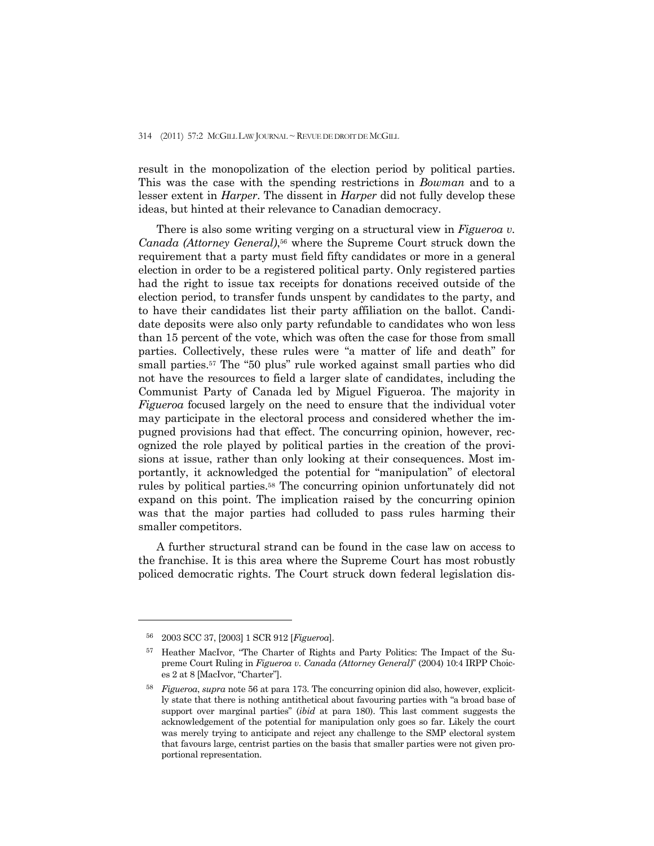result in the monopolization of the election period by political parties. This was the case with the spending restrictions in *Bowman* and to a lesser extent in *Harper*. The dissent in *Harper* did not fully develop these ideas, but hinted at their relevance to Canadian democracy.

 There is also some writing verging on a structural view in *Figueroa v. Canada (Attorney General)*,56 where the Supreme Court struck down the requirement that a party must field fifty candidates or more in a general election in order to be a registered political party. Only registered parties had the right to issue tax receipts for donations received outside of the election period, to transfer funds unspent by candidates to the party, and to have their candidates list their party affiliation on the ballot. Candidate deposits were also only party refundable to candidates who won less than 15 percent of the vote, which was often the case for those from small parties. Collectively, these rules were "a matter of life and death" for small parties.57 The "50 plus" rule worked against small parties who did not have the resources to field a larger slate of candidates, including the Communist Party of Canada led by Miguel Figueroa. The majority in *Figueroa* focused largely on the need to ensure that the individual voter may participate in the electoral process and considered whether the impugned provisions had that effect. The concurring opinion, however, recognized the role played by political parties in the creation of the provisions at issue, rather than only looking at their consequences. Most importantly, it acknowledged the potential for "manipulation" of electoral rules by political parties.58 The concurring opinion unfortunately did not expand on this point. The implication raised by the concurring opinion was that the major parties had colluded to pass rules harming their smaller competitors.

 A further structural strand can be found in the case law on access to the franchise. It is this area where the Supreme Court has most robustly policed democratic rights. The Court struck down federal legislation dis-

<sup>56 2003</sup> SCC 37, [2003] 1 SCR 912 [*Figueroa*].

<sup>57</sup> Heather MacIvor, "The Charter of Rights and Party Politics: The Impact of the Supreme Court Ruling in *Figueroa v. Canada (Attorney General)*" (2004) 10:4 IRPP Choices 2 at 8 [MacIvor, "Charter"].

<sup>58</sup> *Figueroa*, *supra* note 56 at para 173. The concurring opinion did also, however, explicitly state that there is nothing antithetical about favouring parties with "a broad base of support over marginal parties" (*ibid* at para 180). This last comment suggests the acknowledgement of the potential for manipulation only goes so far. Likely the court was merely trying to anticipate and reject any challenge to the SMP electoral system that favours large, centrist parties on the basis that smaller parties were not given proportional representation.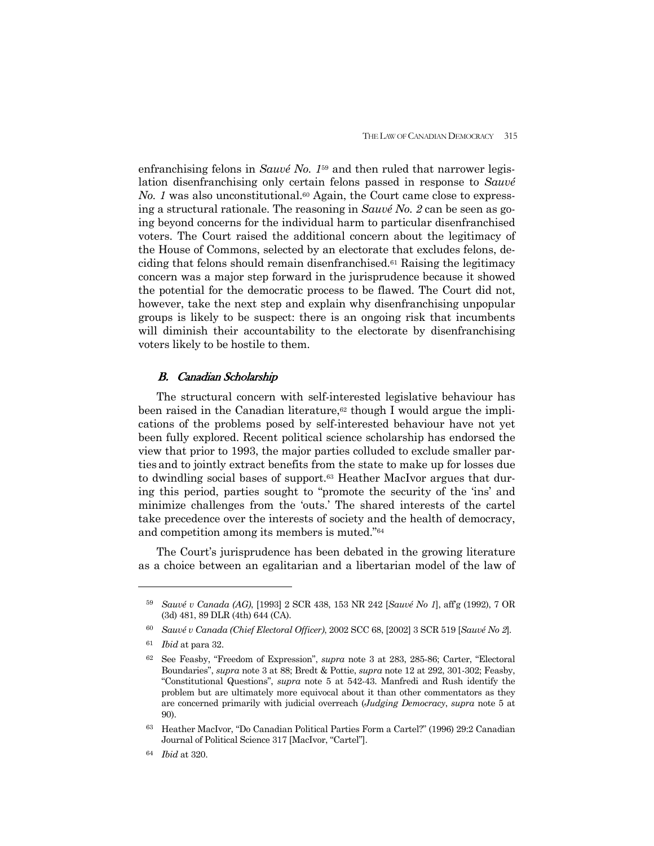enfranchising felons in *Sauvé No. 1*59 and then ruled that narrower legislation disenfranchising only certain felons passed in response to *Sauvé No. 1* was also unconstitutional.<sup>60</sup> Again, the Court came close to expressing a structural rationale. The reasoning in *Sauvé No. 2* can be seen as going beyond concerns for the individual harm to particular disenfranchised voters. The Court raised the additional concern about the legitimacy of the House of Commons, selected by an electorate that excludes felons, deciding that felons should remain disenfranchised.61 Raising the legitimacy concern was a major step forward in the jurisprudence because it showed the potential for the democratic process to be flawed. The Court did not, however, take the next step and explain why disenfranchising unpopular groups is likely to be suspect: there is an ongoing risk that incumbents will diminish their accountability to the electorate by disenfranchising voters likely to be hostile to them.

## B. Canadian Scholarship

 The structural concern with self-interested legislative behaviour has been raised in the Canadian literature, $62$  though I would argue the implications of the problems posed by self-interested behaviour have not yet been fully explored. Recent political science scholarship has endorsed the view that prior to 1993, the major parties colluded to exclude smaller parties and to jointly extract benefits from the state to make up for losses due to dwindling social bases of support.63 Heather MacIvor argues that during this period, parties sought to "promote the security of the 'ins' and minimize challenges from the 'outs.' The shared interests of the cartel take precedence over the interests of society and the health of democracy, and competition among its members is muted."64

 The Court's jurisprudence has been debated in the growing literature as a choice between an egalitarian and a libertarian model of the law of

<sup>59</sup> *Sauvé v Canada (AG)*, [1993] 2 SCR 438, 153 NR 242 [*Sauvé No 1*], aff'g (1992), 7 OR (3d) 481, 89 DLR (4th) 644 (CA).

<sup>60</sup> *Sauvé v Canada (Chief Electoral Officer)*, 2002 SCC 68, [2002] 3 SCR 519 [*Sauvé No 2*]*.* 

<sup>61</sup> *Ibid* at para 32.

<sup>62</sup> See Feasby, "Freedom of Expression", *supra* note 3 at 283, 285-86; Carter, "Electoral Boundaries", *supra* note 3 at 88; Bredt & Pottie, *supra* note 12 at 292, 301-302; Feasby, "Constitutional Questions", *supra* note 5 at 542-43. Manfredi and Rush identify the problem but are ultimately more equivocal about it than other commentators as they are concerned primarily with judicial overreach (*Judging Democracy*, *supra* note 5 at 90).

<sup>63</sup> Heather MacIvor, "Do Canadian Political Parties Form a Cartel?" (1996) 29:2 Canadian Journal of Political Science 317 [MacIvor, "Cartel"].

<sup>64</sup> *Ibid* at 320.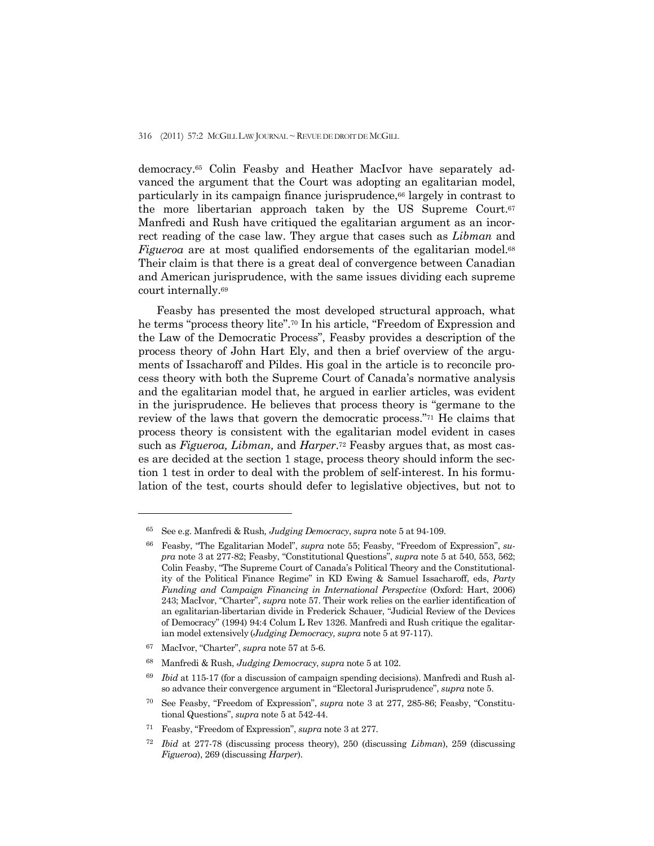democracy.65 Colin Feasby and Heather MacIvor have separately advanced the argument that the Court was adopting an egalitarian model, particularly in its campaign finance jurisprudence,66 largely in contrast to the more libertarian approach taken by the US Supreme Court.<sup>67</sup> Manfredi and Rush have critiqued the egalitarian argument as an incorrect reading of the case law. They argue that cases such as *Libman* and *Figueroa* are at most qualified endorsements of the egalitarian model.<sup>68</sup> Their claim is that there is a great deal of convergence between Canadian and American jurisprudence, with the same issues dividing each supreme court internally.69

 Feasby has presented the most developed structural approach, what he terms "process theory lite".70 In his article, "Freedom of Expression and the Law of the Democratic Process", Feasby provides a description of the process theory of John Hart Ely, and then a brief overview of the arguments of Issacharoff and Pildes. His goal in the article is to reconcile process theory with both the Supreme Court of Canada's normative analysis and the egalitarian model that, he argued in earlier articles, was evident in the jurisprudence. He believes that process theory is "germane to the review of the laws that govern the democratic process."71 He claims that process theory is consistent with the egalitarian model evident in cases such as *Figueroa, Libman,* and *Harper*.72 Feasby argues that, as most cases are decided at the section 1 stage, process theory should inform the section 1 test in order to deal with the problem of self-interest. In his formulation of the test, courts should defer to legislative objectives, but not to

<sup>65</sup> See e.g. Manfredi & Rush*, Judging Democracy*, *supra* note 5 at 94-109.

<sup>66</sup> Feasby, "The Egalitarian Model", *supra* note 55; Feasby, "Freedom of Expression", *supra* note 3 at 277-82; Feasby, "Constitutional Questions", *supra* note 5 at 540, 553, 562; Colin Feasby, "The Supreme Court of Canada's Political Theory and the Constitutionality of the Political Finance Regime" in KD Ewing & Samuel Issacharoff, eds, *Party Funding and Campaign Financing in International Perspective* (Oxford: Hart, 2006) 243; MacIvor, "Charter", *supra* note 57. Their work relies on the earlier identification of an egalitarian-libertarian divide in Frederick Schauer, "Judicial Review of the Devices of Democracy" (1994) 94:4 Colum L Rev 1326. Manfredi and Rush critique the egalitarian model extensively (*Judging Democracy, supra* note 5 at 97-117).

<sup>67</sup> MacIvor, "Charter", *supra* note 57 at 5-6.

<sup>68</sup> Manfredi & Rush, *Judging Democracy*, *supra* note 5 at 102.

<sup>69</sup> *Ibid* at 115-17 (for a discussion of campaign spending decisions). Manfredi and Rush also advance their convergence argument in "Electoral Jurisprudence", *supra* note 5.

<sup>70</sup> See Feasby, "Freedom of Expression", *supra* note 3 at 277, 285-86; Feasby, "Constitutional Questions", *supra* note 5 at 542-44.

<sup>71</sup> Feasby, "Freedom of Expression", *supra* note 3 at 277.

<sup>72</sup> *Ibid* at 277-78 (discussing process theory), 250 (discussing *Libman*), 259 (discussing *Figueroa*), 269 (discussing *Harper*).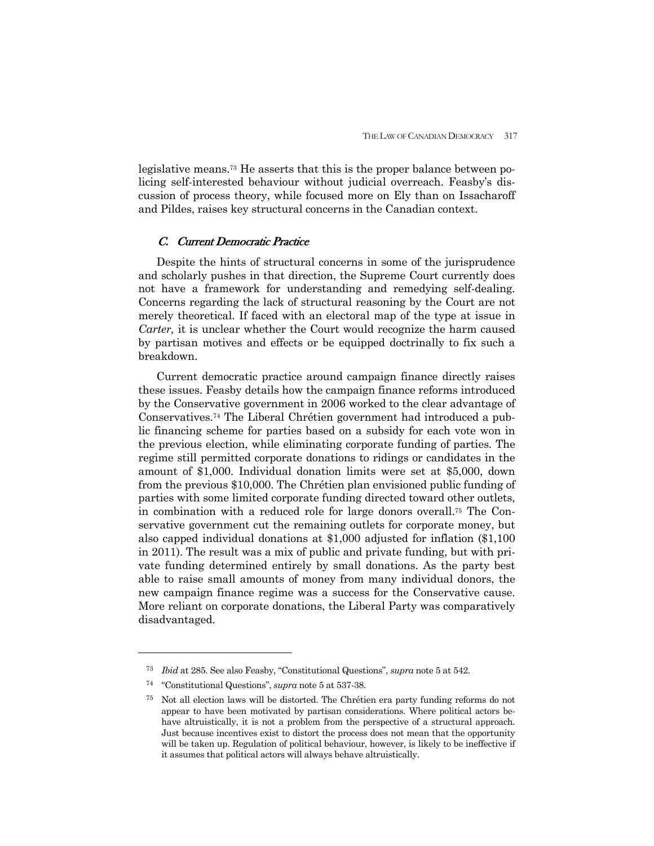legislative means.73 He asserts that this is the proper balance between policing self-interested behaviour without judicial overreach. Feasby's discussion of process theory, while focused more on Ely than on Issacharoff and Pildes, raises key structural concerns in the Canadian context.

## C. Current Democratic Practice

 Despite the hints of structural concerns in some of the jurisprudence and scholarly pushes in that direction, the Supreme Court currently does not have a framework for understanding and remedying self-dealing. Concerns regarding the lack of structural reasoning by the Court are not merely theoretical. If faced with an electoral map of the type at issue in *Carter,* it is unclear whether the Court would recognize the harm caused by partisan motives and effects or be equipped doctrinally to fix such a breakdown.

 Current democratic practice around campaign finance directly raises these issues. Feasby details how the campaign finance reforms introduced by the Conservative government in 2006 worked to the clear advantage of Conservatives.74 The Liberal Chrétien government had introduced a public financing scheme for parties based on a subsidy for each vote won in the previous election, while eliminating corporate funding of parties. The regime still permitted corporate donations to ridings or candidates in the amount of \$1,000. Individual donation limits were set at \$5,000, down from the previous \$10,000. The Chrétien plan envisioned public funding of parties with some limited corporate funding directed toward other outlets, in combination with a reduced role for large donors overall.75 The Conservative government cut the remaining outlets for corporate money, but also capped individual donations at \$1,000 adjusted for inflation (\$1,100 in 2011). The result was a mix of public and private funding, but with private funding determined entirely by small donations. As the party best able to raise small amounts of money from many individual donors, the new campaign finance regime was a success for the Conservative cause. More reliant on corporate donations, the Liberal Party was comparatively disadvantaged.

<sup>73</sup> *Ibid* at 285. See also Feasby, "Constitutional Questions", *supra* note 5 at 542.

<sup>74 &</sup>quot;Constitutional Questions", *supra* note 5 at 537-38.

<sup>75</sup> Not all election laws will be distorted. The Chrétien era party funding reforms do not appear to have been motivated by partisan considerations. Where political actors behave altruistically, it is not a problem from the perspective of a structural approach. Just because incentives exist to distort the process does not mean that the opportunity will be taken up. Regulation of political behaviour, however, is likely to be ineffective if it assumes that political actors will always behave altruistically.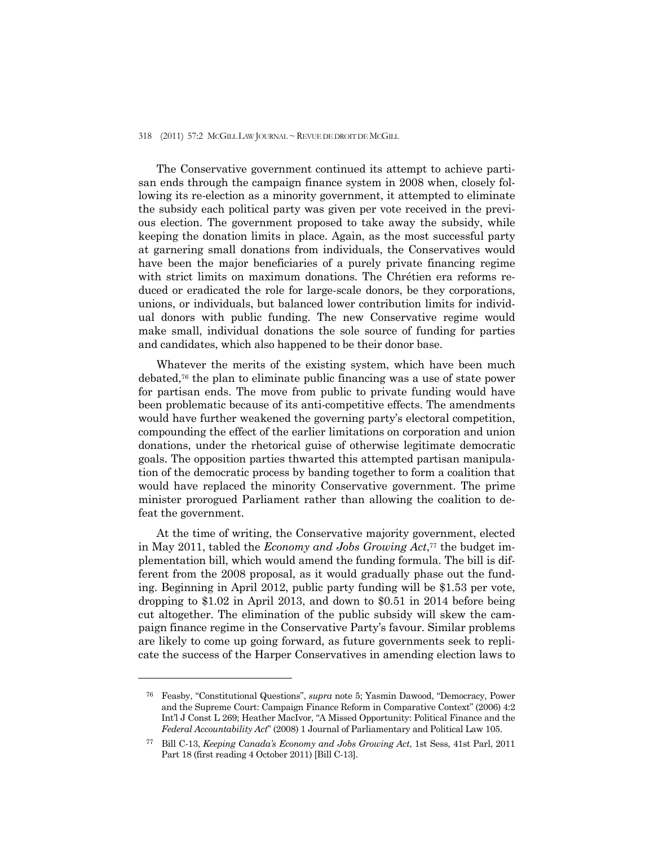The Conservative government continued its attempt to achieve partisan ends through the campaign finance system in 2008 when, closely following its re-election as a minority government, it attempted to eliminate the subsidy each political party was given per vote received in the previous election. The government proposed to take away the subsidy, while keeping the donation limits in place. Again, as the most successful party at garnering small donations from individuals, the Conservatives would have been the major beneficiaries of a purely private financing regime with strict limits on maximum donations. The Chrétien era reforms reduced or eradicated the role for large-scale donors, be they corporations, unions, or individuals, but balanced lower contribution limits for individual donors with public funding. The new Conservative regime would make small, individual donations the sole source of funding for parties and candidates, which also happened to be their donor base.

 Whatever the merits of the existing system, which have been much debated,76 the plan to eliminate public financing was a use of state power for partisan ends. The move from public to private funding would have been problematic because of its anti-competitive effects. The amendments would have further weakened the governing party's electoral competition, compounding the effect of the earlier limitations on corporation and union donations, under the rhetorical guise of otherwise legitimate democratic goals. The opposition parties thwarted this attempted partisan manipulation of the democratic process by banding together to form a coalition that would have replaced the minority Conservative government. The prime minister prorogued Parliament rather than allowing the coalition to defeat the government.

 At the time of writing, the Conservative majority government, elected in May 2011, tabled the *Economy and Jobs Growing Act*,77 the budget implementation bill, which would amend the funding formula. The bill is different from the 2008 proposal, as it would gradually phase out the funding. Beginning in April 2012, public party funding will be \$1.53 per vote, dropping to \$1.02 in April 2013, and down to \$0.51 in 2014 before being cut altogether. The elimination of the public subsidy will skew the campaign finance regime in the Conservative Party's favour. Similar problems are likely to come up going forward, as future governments seek to replicate the success of the Harper Conservatives in amending election laws to

<sup>76</sup> Feasby, "Constitutional Questions", *supra* note 5; Yasmin Dawood, "Democracy, Power and the Supreme Court: Campaign Finance Reform in Comparative Context" (2006) 4:2 Int'l J Const L 269; Heather MacIvor, "A Missed Opportunity: Political Finance and the *Federal Accountability Act*" (2008) 1 Journal of Parliamentary and Political Law 105.

<sup>77</sup> Bill C-13, *Keeping Canada's Economy and Jobs Growing Act*, 1st Sess, 41st Parl, 2011 Part 18 (first reading 4 October 2011) [Bill C-13].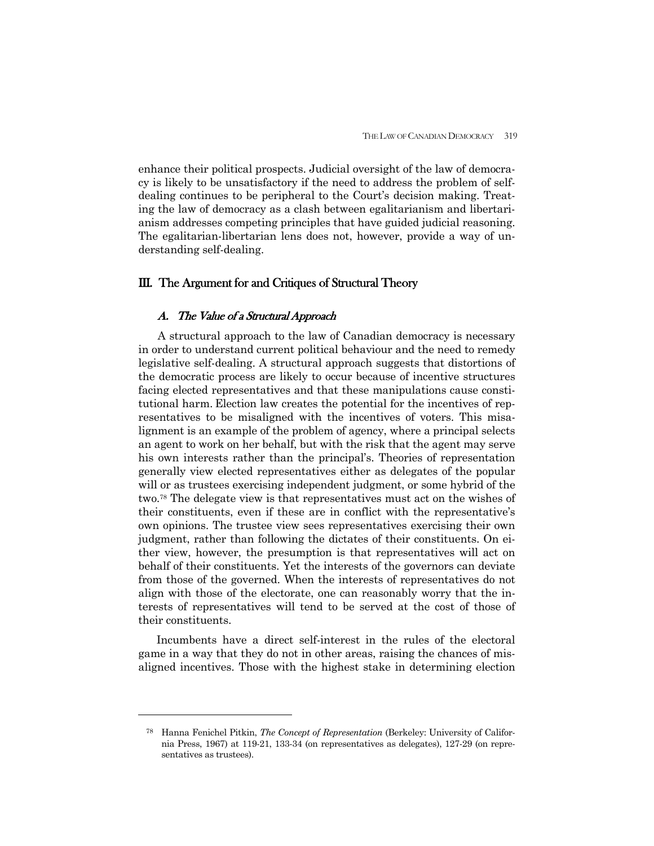enhance their political prospects. Judicial oversight of the law of democracy is likely to be unsatisfactory if the need to address the problem of selfdealing continues to be peripheral to the Court's decision making. Treating the law of democracy as a clash between egalitarianism and libertarianism addresses competing principles that have guided judicial reasoning. The egalitarian-libertarian lens does not, however, provide a way of understanding self-dealing.

## III. The Argument for and Critiques of Structural Theory

## A. The Value of a Structural Approach

-

 A structural approach to the law of Canadian democracy is necessary in order to understand current political behaviour and the need to remedy legislative self-dealing. A structural approach suggests that distortions of the democratic process are likely to occur because of incentive structures facing elected representatives and that these manipulations cause constitutional harm. Election law creates the potential for the incentives of representatives to be misaligned with the incentives of voters. This misalignment is an example of the problem of agency, where a principal selects an agent to work on her behalf, but with the risk that the agent may serve his own interests rather than the principal's. Theories of representation generally view elected representatives either as delegates of the popular will or as trustees exercising independent judgment, or some hybrid of the two.78 The delegate view is that representatives must act on the wishes of their constituents, even if these are in conflict with the representative's own opinions. The trustee view sees representatives exercising their own judgment, rather than following the dictates of their constituents. On either view, however, the presumption is that representatives will act on behalf of their constituents. Yet the interests of the governors can deviate from those of the governed. When the interests of representatives do not align with those of the electorate, one can reasonably worry that the interests of representatives will tend to be served at the cost of those of their constituents.

 Incumbents have a direct self-interest in the rules of the electoral game in a way that they do not in other areas, raising the chances of misaligned incentives. Those with the highest stake in determining election

<sup>78</sup> Hanna Fenichel Pitkin, *The Concept of Representation* (Berkeley: University of California Press, 1967) at 119-21, 133-34 (on representatives as delegates), 127-29 (on representatives as trustees).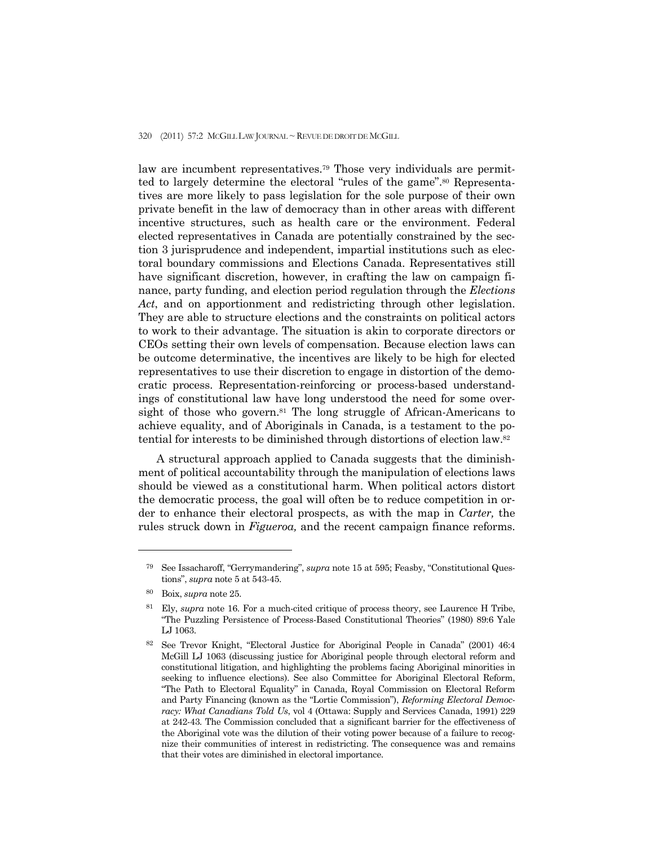law are incumbent representatives.79 Those very individuals are permitted to largely determine the electoral "rules of the game".<sup>80</sup> Representatives are more likely to pass legislation for the sole purpose of their own private benefit in the law of democracy than in other areas with different incentive structures, such as health care or the environment. Federal elected representatives in Canada are potentially constrained by the section 3 jurisprudence and independent, impartial institutions such as electoral boundary commissions and Elections Canada. Representatives still have significant discretion, however, in crafting the law on campaign finance, party funding, and election period regulation through the *Elections Act*, and on apportionment and redistricting through other legislation. They are able to structure elections and the constraints on political actors to work to their advantage. The situation is akin to corporate directors or CEOs setting their own levels of compensation. Because election laws can be outcome determinative, the incentives are likely to be high for elected representatives to use their discretion to engage in distortion of the democratic process. Representation-reinforcing or process-based understandings of constitutional law have long understood the need for some oversight of those who govern. $81$  The long struggle of African-Americans to achieve equality, and of Aboriginals in Canada, is a testament to the potential for interests to be diminished through distortions of election law.82

 A structural approach applied to Canada suggests that the diminishment of political accountability through the manipulation of elections laws should be viewed as a constitutional harm. When political actors distort the democratic process, the goal will often be to reduce competition in order to enhance their electoral prospects, as with the map in *Carter,* the rules struck down in *Figueroa,* and the recent campaign finance reforms.

<sup>79</sup> See Issacharoff, "Gerrymandering", *supra* note 15 at 595; Feasby, "Constitutional Questions", *supra* note 5 at 543-45.

<sup>80</sup> Boix, *supra* note 25.

<sup>81</sup> Ely, *supra* note 16. For a much-cited critique of process theory, see Laurence H Tribe, "The Puzzling Persistence of Process-Based Constitutional Theories" (1980) 89:6 Yale LJ 1063.

<sup>82</sup> See Trevor Knight, "Electoral Justice for Aboriginal People in Canada" (2001) 46:4 McGill LJ 1063 (discussing justice for Aboriginal people through electoral reform and constitutional litigation, and highlighting the problems facing Aboriginal minorities in seeking to influence elections). See also Committee for Aboriginal Electoral Reform, "The Path to Electoral Equality" in Canada, Royal Commission on Electoral Reform and Party Financing (known as the "Lortie Commission"), *Reforming Electoral Democracy: What Canadians Told Us*, vol 4 (Ottawa: Supply and Services Canada, 1991) 229 at 242-43*.* The Commission concluded that a significant barrier for the effectiveness of the Aboriginal vote was the dilution of their voting power because of a failure to recognize their communities of interest in redistricting. The consequence was and remains that their votes are diminished in electoral importance.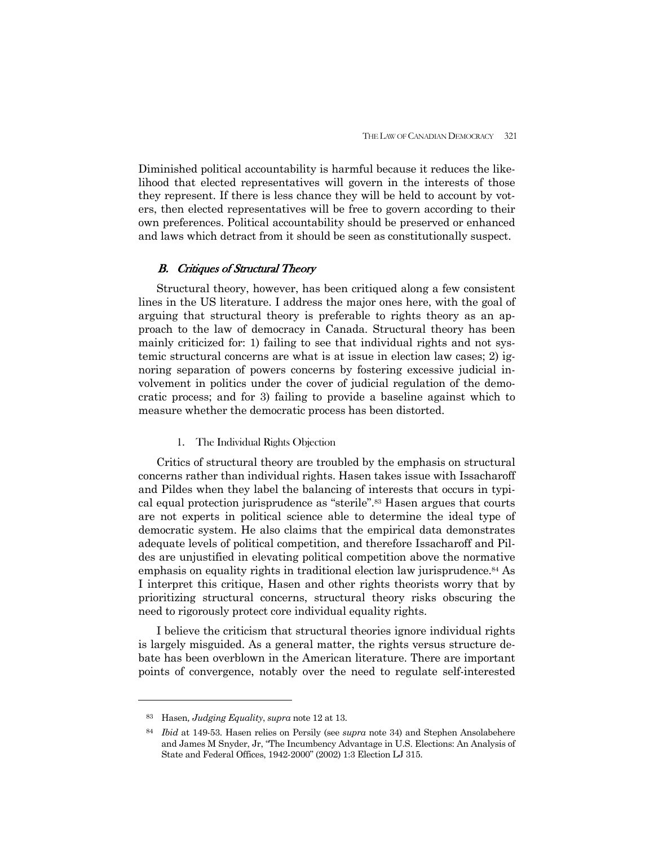Diminished political accountability is harmful because it reduces the likelihood that elected representatives will govern in the interests of those they represent. If there is less chance they will be held to account by voters, then elected representatives will be free to govern according to their own preferences. Political accountability should be preserved or enhanced and laws which detract from it should be seen as constitutionally suspect.

## B. Critiques of Structural Theory

 Structural theory, however, has been critiqued along a few consistent lines in the US literature. I address the major ones here, with the goal of arguing that structural theory is preferable to rights theory as an approach to the law of democracy in Canada. Structural theory has been mainly criticized for: 1) failing to see that individual rights and not systemic structural concerns are what is at issue in election law cases; 2) ignoring separation of powers concerns by fostering excessive judicial involvement in politics under the cover of judicial regulation of the democratic process; and for 3) failing to provide a baseline against which to measure whether the democratic process has been distorted.

#### 1. The Individual Rights Objection

 Critics of structural theory are troubled by the emphasis on structural concerns rather than individual rights. Hasen takes issue with Issacharoff and Pildes when they label the balancing of interests that occurs in typical equal protection jurisprudence as "sterile".83 Hasen argues that courts are not experts in political science able to determine the ideal type of democratic system. He also claims that the empirical data demonstrates adequate levels of political competition, and therefore Issacharoff and Pildes are unjustified in elevating political competition above the normative emphasis on equality rights in traditional election law jurisprudence.84 As I interpret this critique, Hasen and other rights theorists worry that by prioritizing structural concerns, structural theory risks obscuring the need to rigorously protect core individual equality rights.

 I believe the criticism that structural theories ignore individual rights is largely misguided. As a general matter, the rights versus structure debate has been overblown in the American literature. There are important points of convergence, notably over the need to regulate self-interested

<sup>83</sup> Hasen*, Judging Equality*, *supra* note 12 at 13.

<sup>84</sup> *Ibid* at 149-53. Hasen relies on Persily (see *supra* note 34) and Stephen Ansolabehere and James M Snyder, Jr, "The Incumbency Advantage in U.S. Elections: An Analysis of State and Federal Offices, 1942-2000" (2002) 1:3 Election LJ 315.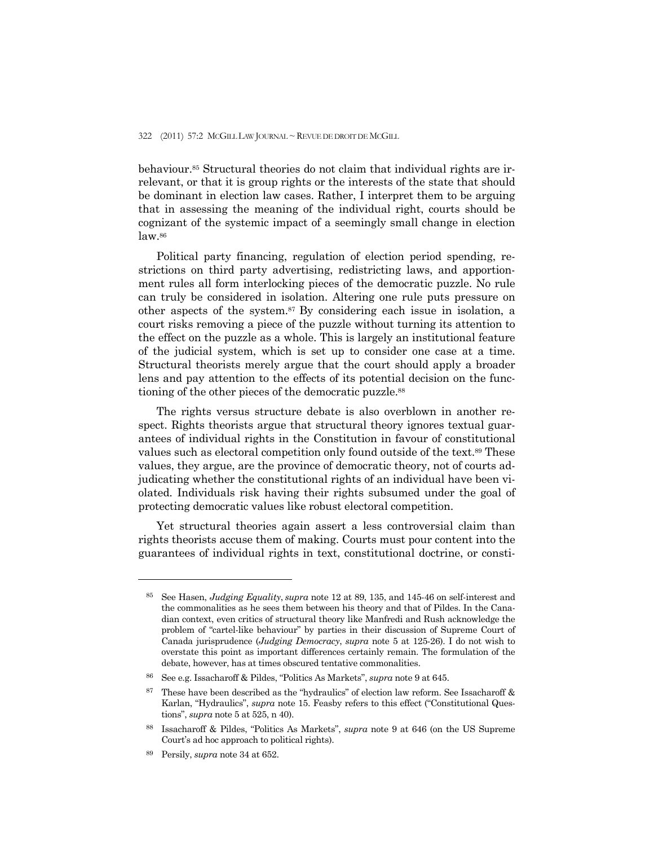behaviour.85 Structural theories do not claim that individual rights are irrelevant, or that it is group rights or the interests of the state that should be dominant in election law cases. Rather, I interpret them to be arguing that in assessing the meaning of the individual right, courts should be cognizant of the systemic impact of a seemingly small change in election law.86

 Political party financing, regulation of election period spending, restrictions on third party advertising, redistricting laws, and apportionment rules all form interlocking pieces of the democratic puzzle. No rule can truly be considered in isolation. Altering one rule puts pressure on other aspects of the system.87 By considering each issue in isolation, a court risks removing a piece of the puzzle without turning its attention to the effect on the puzzle as a whole. This is largely an institutional feature of the judicial system, which is set up to consider one case at a time. Structural theorists merely argue that the court should apply a broader lens and pay attention to the effects of its potential decision on the functioning of the other pieces of the democratic puzzle.88

 The rights versus structure debate is also overblown in another respect. Rights theorists argue that structural theory ignores textual guarantees of individual rights in the Constitution in favour of constitutional values such as electoral competition only found outside of the text.89 These values, they argue, are the province of democratic theory, not of courts adjudicating whether the constitutional rights of an individual have been violated. Individuals risk having their rights subsumed under the goal of protecting democratic values like robust electoral competition.

 Yet structural theories again assert a less controversial claim than rights theorists accuse them of making. Courts must pour content into the guarantees of individual rights in text, constitutional doctrine, or consti-

<sup>85</sup> See Hasen, *Judging Equality*, *supra* note 12 at 89, 135, and 145-46 on self-interest and the commonalities as he sees them between his theory and that of Pildes. In the Canadian context, even critics of structural theory like Manfredi and Rush acknowledge the problem of "cartel-like behaviour" by parties in their discussion of Supreme Court of Canada jurisprudence (*Judging Democracy*, *supra* note 5 at 125-26). I do not wish to overstate this point as important differences certainly remain. The formulation of the debate, however, has at times obscured tentative commonalities.

<sup>86</sup> See e.g. Issacharoff & Pildes, "Politics As Markets", *supra* note 9 at 645.

<sup>87</sup> These have been described as the "hydraulics" of election law reform. See Issacharoff & Karlan, "Hydraulics", *supra* note 15. Feasby refers to this effect ("Constitutional Questions", *supra* note 5 at 525, n 40).

<sup>88</sup> Issacharoff & Pildes, "Politics As Markets", *supra* note 9 at 646 (on the US Supreme Court's ad hoc approach to political rights).

<sup>89</sup> Persily, *supra* note 34 at 652.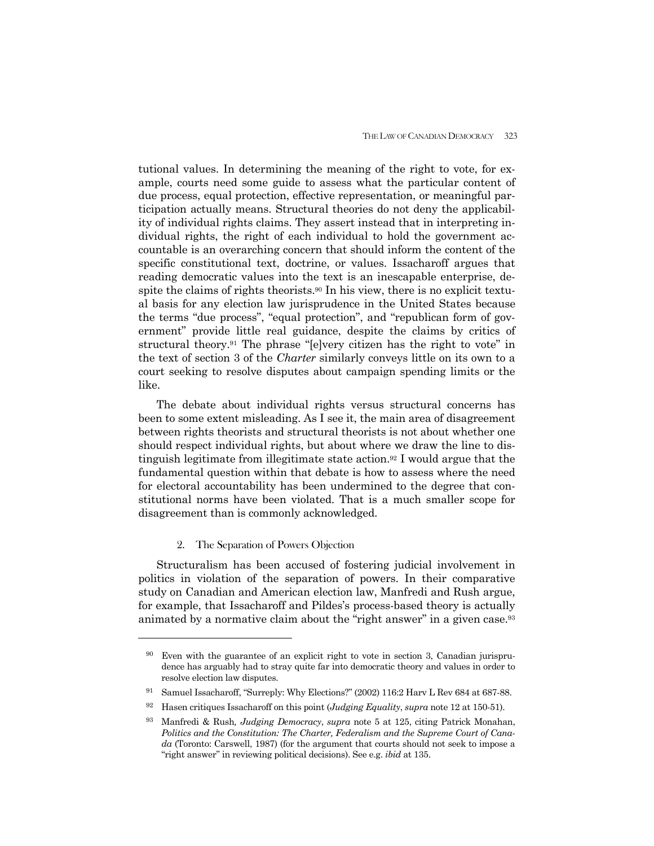tutional values. In determining the meaning of the right to vote, for example, courts need some guide to assess what the particular content of due process, equal protection, effective representation, or meaningful participation actually means. Structural theories do not deny the applicability of individual rights claims. They assert instead that in interpreting individual rights, the right of each individual to hold the government accountable is an overarching concern that should inform the content of the specific constitutional text, doctrine, or values. Issacharoff argues that reading democratic values into the text is an inescapable enterprise, despite the claims of rights theorists.<sup>90</sup> In his view, there is no explicit textual basis for any election law jurisprudence in the United States because the terms "due process", "equal protection", and "republican form of government" provide little real guidance, despite the claims by critics of structural theory.91 The phrase "[e]very citizen has the right to vote" in the text of section 3 of the *Charter* similarly conveys little on its own to a court seeking to resolve disputes about campaign spending limits or the like.

 The debate about individual rights versus structural concerns has been to some extent misleading. As I see it, the main area of disagreement between rights theorists and structural theorists is not about whether one should respect individual rights, but about where we draw the line to distinguish legitimate from illegitimate state action.92 I would argue that the fundamental question within that debate is how to assess where the need for electoral accountability has been undermined to the degree that constitutional norms have been violated. That is a much smaller scope for disagreement than is commonly acknowledged.

## 2. The Separation of Powers Objection

-

 Structuralism has been accused of fostering judicial involvement in politics in violation of the separation of powers. In their comparative study on Canadian and American election law, Manfredi and Rush argue, for example, that Issacharoff and Pildes's process-based theory is actually animated by a normative claim about the "right answer" in a given case.93

<sup>90</sup> Even with the guarantee of an explicit right to vote in section 3, Canadian jurisprudence has arguably had to stray quite far into democratic theory and values in order to resolve election law disputes.

<sup>91</sup> Samuel Issacharoff, "Surreply: Why Elections?" (2002) 116:2 Harv L Rev 684 at 687-88.

<sup>92</sup> Hasen critiques Issacharoff on this point (*Judging Equality*, *supra* note 12 at 150-51).

<sup>93</sup> Manfredi & Rush*, Judging Democracy*, *supra* note 5 at 125, citing Patrick Monahan, *Politics and the Constitution: The Charter, Federalism and the Supreme Court of Canada* (Toronto: Carswell, 1987) (for the argument that courts should not seek to impose a "right answer" in reviewing political decisions). See e.g. *ibid* at 135.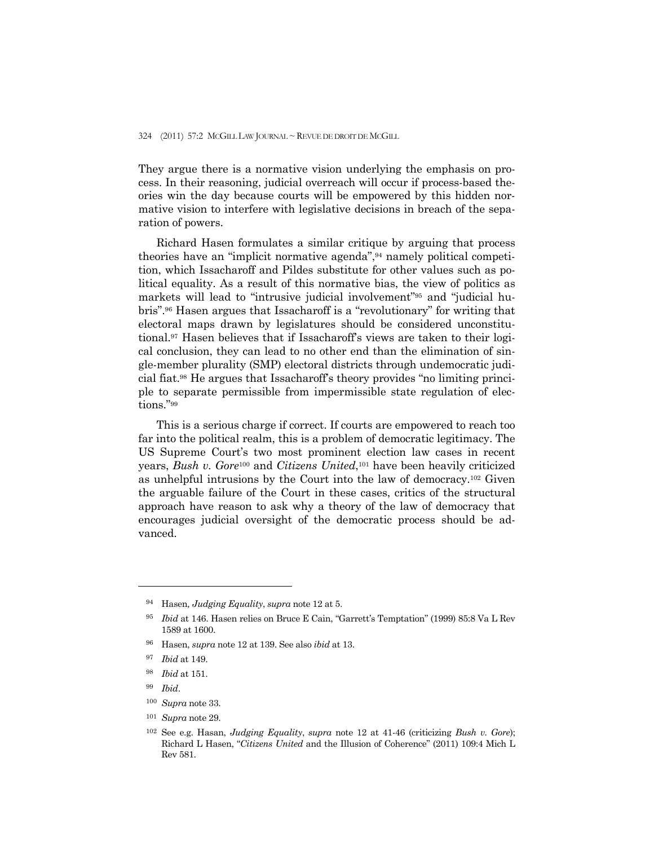They argue there is a normative vision underlying the emphasis on process. In their reasoning, judicial overreach will occur if process-based theories win the day because courts will be empowered by this hidden normative vision to interfere with legislative decisions in breach of the separation of powers.

 Richard Hasen formulates a similar critique by arguing that process theories have an "implicit normative agenda",94 namely political competition, which Issacharoff and Pildes substitute for other values such as political equality. As a result of this normative bias, the view of politics as markets will lead to "intrusive judicial involvement"95 and "judicial hubris".96 Hasen argues that Issacharoff is a "revolutionary" for writing that electoral maps drawn by legislatures should be considered unconstitutional.97 Hasen believes that if Issacharoff's views are taken to their logical conclusion, they can lead to no other end than the elimination of single-member plurality (SMP) electoral districts through undemocratic judicial fiat.98 He argues that Issacharoff's theory provides "no limiting principle to separate permissible from impermissible state regulation of elections."99

 This is a serious charge if correct. If courts are empowered to reach too far into the political realm, this is a problem of democratic legitimacy. The US Supreme Court's two most prominent election law cases in recent years, *Bush v. Gore*<sup>100</sup> and *Citizens United*,101 have been heavily criticized as unhelpful intrusions by the Court into the law of democracy.102 Given the arguable failure of the Court in these cases, critics of the structural approach have reason to ask why a theory of the law of democracy that encourages judicial oversight of the democratic process should be advanced.

99 *Ibid*.

-

101 *Supra* note 29.

<sup>94</sup> Hasen*, Judging Equality*, *supra* note 12 at 5.

<sup>95</sup> *Ibid* at 146. Hasen relies on Bruce E Cain, "Garrett's Temptation" (1999) 85:8 Va L Rev 1589 at 1600.

<sup>96</sup> Hasen, *supra* note 12 at 139. See also *ibid* at 13.

<sup>97</sup> *Ibid* at 149.

<sup>98</sup> *Ibid* at 151.

<sup>100</sup> *Supra* note 33.

<sup>102</sup> See e.g. Hasan, *Judging Equality*, *supra* note 12 at 41-46 (criticizing *Bush v. Gore*); Richard L Hasen, "*Citizens United* and the Illusion of Coherence" (2011) 109:4 Mich L Rev 581.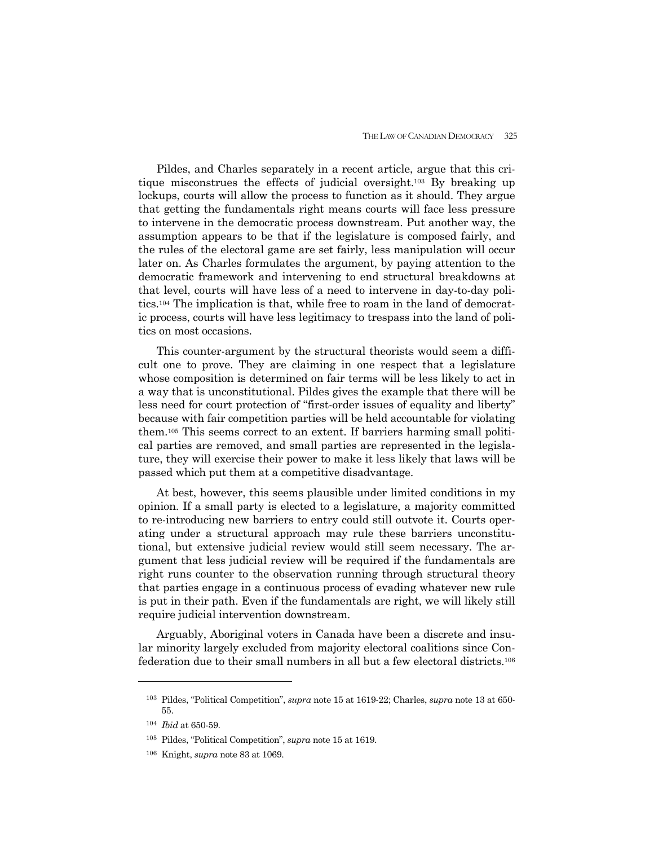Pildes, and Charles separately in a recent article, argue that this critique misconstrues the effects of judicial oversight.103 By breaking up lockups, courts will allow the process to function as it should. They argue that getting the fundamentals right means courts will face less pressure to intervene in the democratic process downstream. Put another way, the assumption appears to be that if the legislature is composed fairly, and the rules of the electoral game are set fairly, less manipulation will occur later on. As Charles formulates the argument, by paying attention to the democratic framework and intervening to end structural breakdowns at that level, courts will have less of a need to intervene in day-to-day politics.104 The implication is that, while free to roam in the land of democratic process, courts will have less legitimacy to trespass into the land of politics on most occasions.

 This counter-argument by the structural theorists would seem a difficult one to prove. They are claiming in one respect that a legislature whose composition is determined on fair terms will be less likely to act in a way that is unconstitutional. Pildes gives the example that there will be less need for court protection of "first-order issues of equality and liberty" because with fair competition parties will be held accountable for violating them.105 This seems correct to an extent. If barriers harming small political parties are removed, and small parties are represented in the legislature, they will exercise their power to make it less likely that laws will be passed which put them at a competitive disadvantage.

 At best, however, this seems plausible under limited conditions in my opinion. If a small party is elected to a legislature, a majority committed to re-introducing new barriers to entry could still outvote it. Courts operating under a structural approach may rule these barriers unconstitutional, but extensive judicial review would still seem necessary. The argument that less judicial review will be required if the fundamentals are right runs counter to the observation running through structural theory that parties engage in a continuous process of evading whatever new rule is put in their path. Even if the fundamentals are right, we will likely still require judicial intervention downstream.

 Arguably, Aboriginal voters in Canada have been a discrete and insular minority largely excluded from majority electoral coalitions since Confederation due to their small numbers in all but a few electoral districts.106

<sup>103</sup> Pildes, "Political Competition", *supra* note 15 at 1619-22; Charles, *supra* note 13 at 650- 55.

<sup>104</sup> *Ibid* at 650-59.

<sup>105</sup> Pildes, "Political Competition", *supra* note 15 at 1619.

<sup>106</sup> Knight, *supra* note 83 at 1069.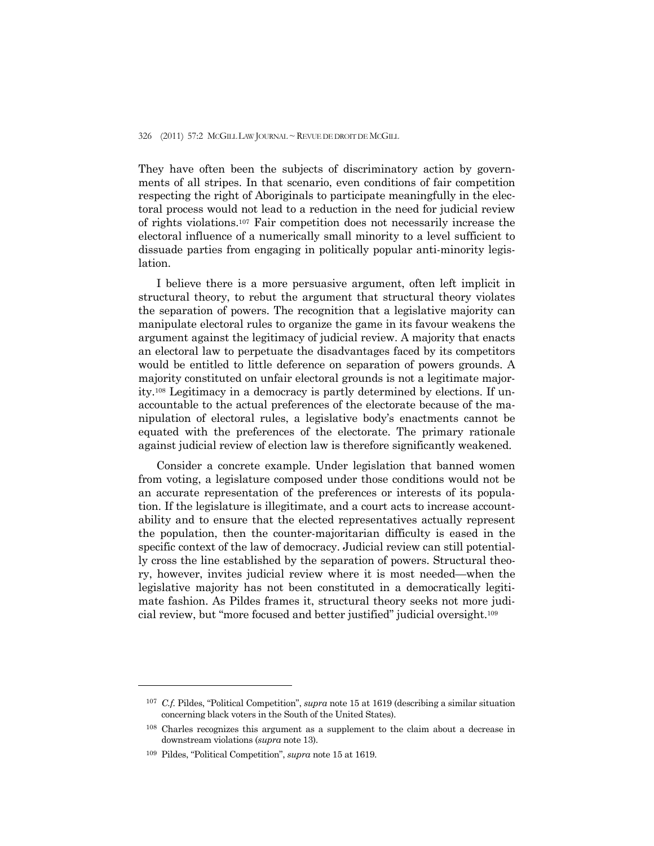They have often been the subjects of discriminatory action by governments of all stripes. In that scenario, even conditions of fair competition respecting the right of Aboriginals to participate meaningfully in the electoral process would not lead to a reduction in the need for judicial review of rights violations.107 Fair competition does not necessarily increase the electoral influence of a numerically small minority to a level sufficient to dissuade parties from engaging in politically popular anti-minority legislation.

 I believe there is a more persuasive argument, often left implicit in structural theory, to rebut the argument that structural theory violates the separation of powers. The recognition that a legislative majority can manipulate electoral rules to organize the game in its favour weakens the argument against the legitimacy of judicial review. A majority that enacts an electoral law to perpetuate the disadvantages faced by its competitors would be entitled to little deference on separation of powers grounds. A majority constituted on unfair electoral grounds is not a legitimate majority.108 Legitimacy in a democracy is partly determined by elections. If unaccountable to the actual preferences of the electorate because of the manipulation of electoral rules, a legislative body's enactments cannot be equated with the preferences of the electorate. The primary rationale against judicial review of election law is therefore significantly weakened.

 Consider a concrete example. Under legislation that banned women from voting, a legislature composed under those conditions would not be an accurate representation of the preferences or interests of its population. If the legislature is illegitimate, and a court acts to increase accountability and to ensure that the elected representatives actually represent the population, then the counter-majoritarian difficulty is eased in the specific context of the law of democracy. Judicial review can still potentially cross the line established by the separation of powers. Structural theory, however, invites judicial review where it is most needed—when the legislative majority has not been constituted in a democratically legitimate fashion. As Pildes frames it, structural theory seeks not more judicial review, but "more focused and better justified" judicial oversight.109

<sup>107</sup> *C.f.* Pildes, "Political Competition", *supra* note 15 at 1619 (describing a similar situation concerning black voters in the South of the United States).

<sup>108</sup> Charles recognizes this argument as a supplement to the claim about a decrease in downstream violations (*supra* note 13).

<sup>109</sup> Pildes, "Political Competition", *supra* note 15 at 1619.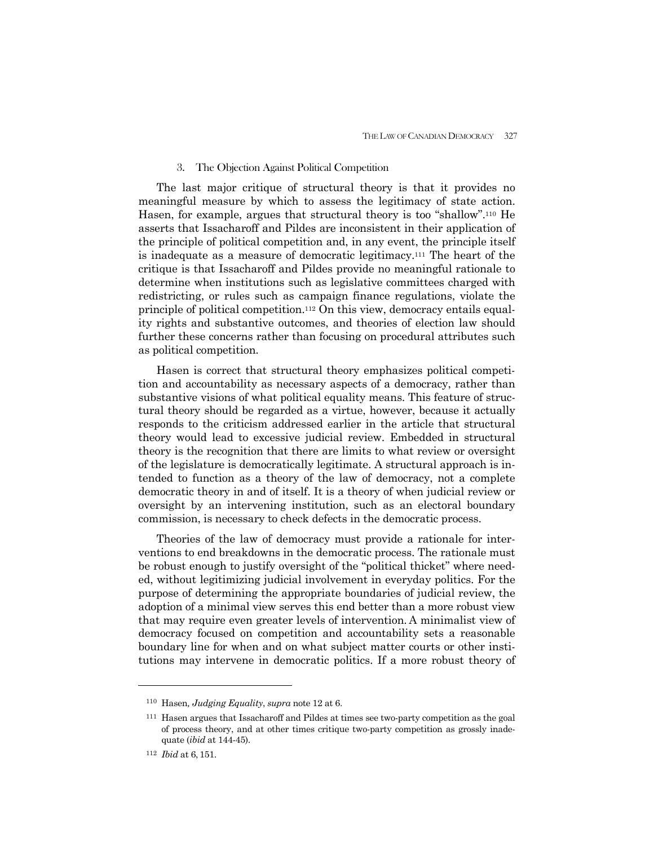#### 3. The Objection Against Political Competition

 The last major critique of structural theory is that it provides no meaningful measure by which to assess the legitimacy of state action. Hasen, for example, argues that structural theory is too "shallow".110 He asserts that Issacharoff and Pildes are inconsistent in their application of the principle of political competition and, in any event, the principle itself is inadequate as a measure of democratic legitimacy.111 The heart of the critique is that Issacharoff and Pildes provide no meaningful rationale to determine when institutions such as legislative committees charged with redistricting, or rules such as campaign finance regulations, violate the principle of political competition.112 On this view, democracy entails equality rights and substantive outcomes, and theories of election law should further these concerns rather than focusing on procedural attributes such as political competition.

 Hasen is correct that structural theory emphasizes political competition and accountability as necessary aspects of a democracy, rather than substantive visions of what political equality means. This feature of structural theory should be regarded as a virtue, however, because it actually responds to the criticism addressed earlier in the article that structural theory would lead to excessive judicial review. Embedded in structural theory is the recognition that there are limits to what review or oversight of the legislature is democratically legitimate. A structural approach is intended to function as a theory of the law of democracy, not a complete democratic theory in and of itself. It is a theory of when judicial review or oversight by an intervening institution, such as an electoral boundary commission, is necessary to check defects in the democratic process.

 Theories of the law of democracy must provide a rationale for interventions to end breakdowns in the democratic process. The rationale must be robust enough to justify oversight of the "political thicket" where needed, without legitimizing judicial involvement in everyday politics. For the purpose of determining the appropriate boundaries of judicial review, the adoption of a minimal view serves this end better than a more robust view that may require even greater levels of intervention. A minimalist view of democracy focused on competition and accountability sets a reasonable boundary line for when and on what subject matter courts or other institutions may intervene in democratic politics. If a more robust theory of

<sup>110</sup> Hasen*, Judging Equality*, *supra* note 12 at 6.

<sup>111</sup> Hasen argues that Issacharoff and Pildes at times see two-party competition as the goal of process theory, and at other times critique two-party competition as grossly inadequate (*ibid* at 144-45).

<sup>112</sup> *Ibid* at 6, 151.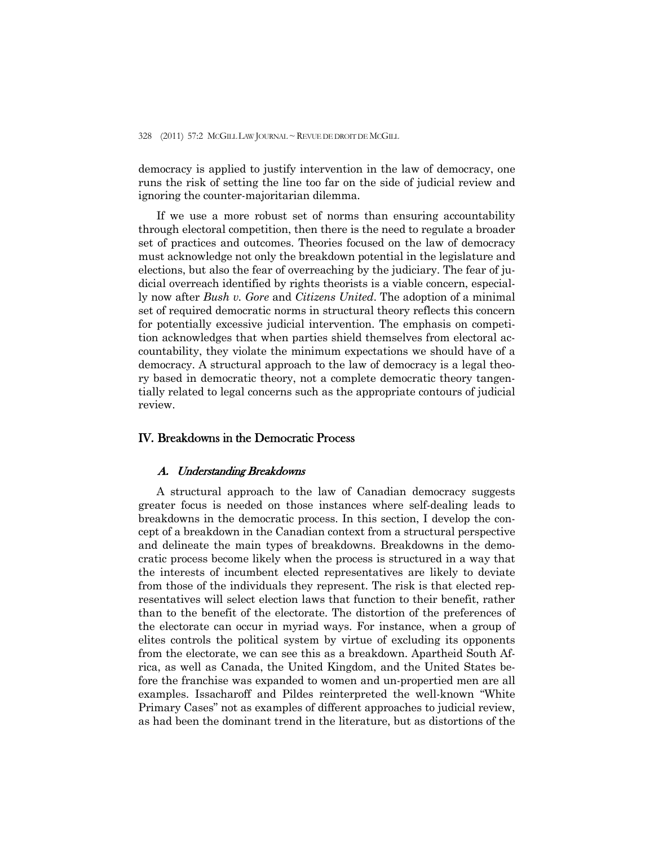democracy is applied to justify intervention in the law of democracy, one runs the risk of setting the line too far on the side of judicial review and ignoring the counter-majoritarian dilemma.

 If we use a more robust set of norms than ensuring accountability through electoral competition, then there is the need to regulate a broader set of practices and outcomes. Theories focused on the law of democracy must acknowledge not only the breakdown potential in the legislature and elections, but also the fear of overreaching by the judiciary. The fear of judicial overreach identified by rights theorists is a viable concern, especially now after *Bush v. Gore* and *Citizens United*. The adoption of a minimal set of required democratic norms in structural theory reflects this concern for potentially excessive judicial intervention. The emphasis on competition acknowledges that when parties shield themselves from electoral accountability, they violate the minimum expectations we should have of a democracy. A structural approach to the law of democracy is a legal theory based in democratic theory, not a complete democratic theory tangentially related to legal concerns such as the appropriate contours of judicial review.

## IV. Breakdowns in the Democratic Process

#### A. Understanding Breakdowns

 A structural approach to the law of Canadian democracy suggests greater focus is needed on those instances where self-dealing leads to breakdowns in the democratic process. In this section, I develop the concept of a breakdown in the Canadian context from a structural perspective and delineate the main types of breakdowns. Breakdowns in the democratic process become likely when the process is structured in a way that the interests of incumbent elected representatives are likely to deviate from those of the individuals they represent. The risk is that elected representatives will select election laws that function to their benefit, rather than to the benefit of the electorate. The distortion of the preferences of the electorate can occur in myriad ways. For instance, when a group of elites controls the political system by virtue of excluding its opponents from the electorate, we can see this as a breakdown. Apartheid South Africa, as well as Canada, the United Kingdom, and the United States before the franchise was expanded to women and un-propertied men are all examples. Issacharoff and Pildes reinterpreted the well-known "White Primary Cases" not as examples of different approaches to judicial review, as had been the dominant trend in the literature, but as distortions of the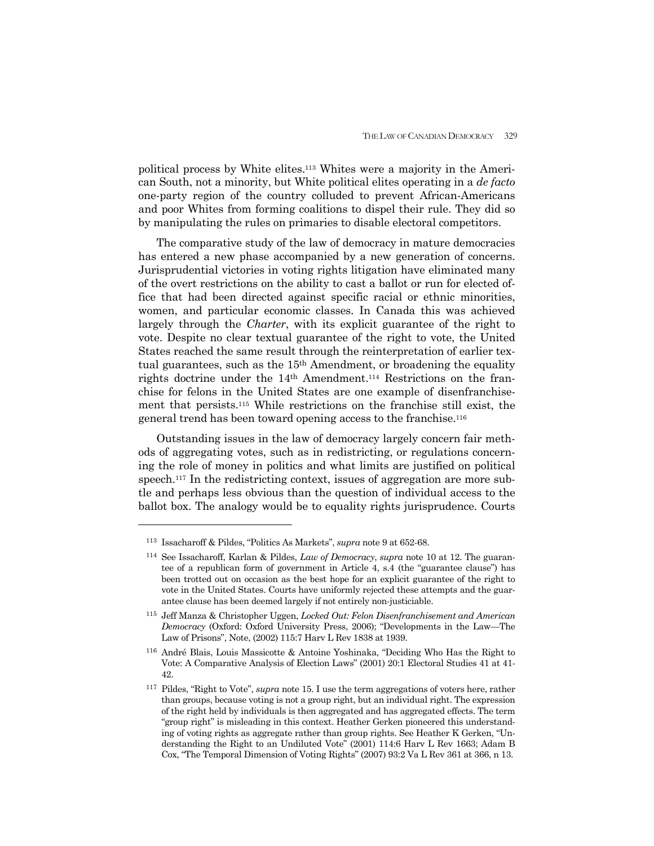political process by White elites.113 Whites were a majority in the American South, not a minority, but White political elites operating in a *de facto* one-party region of the country colluded to prevent African-Americans and poor Whites from forming coalitions to dispel their rule. They did so by manipulating the rules on primaries to disable electoral competitors.

 The comparative study of the law of democracy in mature democracies has entered a new phase accompanied by a new generation of concerns. Jurisprudential victories in voting rights litigation have eliminated many of the overt restrictions on the ability to cast a ballot or run for elected office that had been directed against specific racial or ethnic minorities, women, and particular economic classes. In Canada this was achieved largely through the *Charter*, with its explicit guarantee of the right to vote. Despite no clear textual guarantee of the right to vote, the United States reached the same result through the reinterpretation of earlier textual guarantees, such as the 15th Amendment, or broadening the equality rights doctrine under the 14th Amendment.114 Restrictions on the franchise for felons in the United States are one example of disenfranchisement that persists.115 While restrictions on the franchise still exist, the general trend has been toward opening access to the franchise.116

 Outstanding issues in the law of democracy largely concern fair methods of aggregating votes, such as in redistricting, or regulations concerning the role of money in politics and what limits are justified on political speech.117 In the redistricting context, issues of aggregation are more subtle and perhaps less obvious than the question of individual access to the ballot box. The analogy would be to equality rights jurisprudence. Courts

<sup>113</sup> Issacharoff & Pildes, "Politics As Markets", *supra* note 9 at 652-68.

<sup>114</sup> See Issacharoff, Karlan & Pildes, *Law of Democracy*, *supra* note 10 at 12. The guarantee of a republican form of government in Article 4, s.4 (the "guarantee clause") has been trotted out on occasion as the best hope for an explicit guarantee of the right to vote in the United States. Courts have uniformly rejected these attempts and the guarantee clause has been deemed largely if not entirely non-justiciable.

<sup>115</sup> Jeff Manza & Christopher Uggen, *Locked Out: Felon Disenfranchisement and American Democracy* (Oxford: Oxford University Press, 2006); "Developments in the Law—The Law of Prisons", Note, (2002) 115:7 Harv L Rev 1838 at 1939.

<sup>116</sup> André Blais, Louis Massicotte & Antoine Yoshinaka, "Deciding Who Has the Right to Vote: A Comparative Analysis of Election Laws" (2001) 20:1 Electoral Studies 41 at 41- 42.

<sup>117</sup> Pildes, "Right to Vote", *supra* note 15. I use the term aggregations of voters here, rather than groups, because voting is not a group right, but an individual right. The expression of the right held by individuals is then aggregated and has aggregated effects. The term "group right" is misleading in this context. Heather Gerken pioneered this understanding of voting rights as aggregate rather than group rights. See Heather K Gerken, "Understanding the Right to an Undiluted Vote" (2001) 114:6 Harv L Rev 1663; Adam B Cox, "The Temporal Dimension of Voting Rights" (2007) 93:2 Va L Rev 361 at 366, n 13.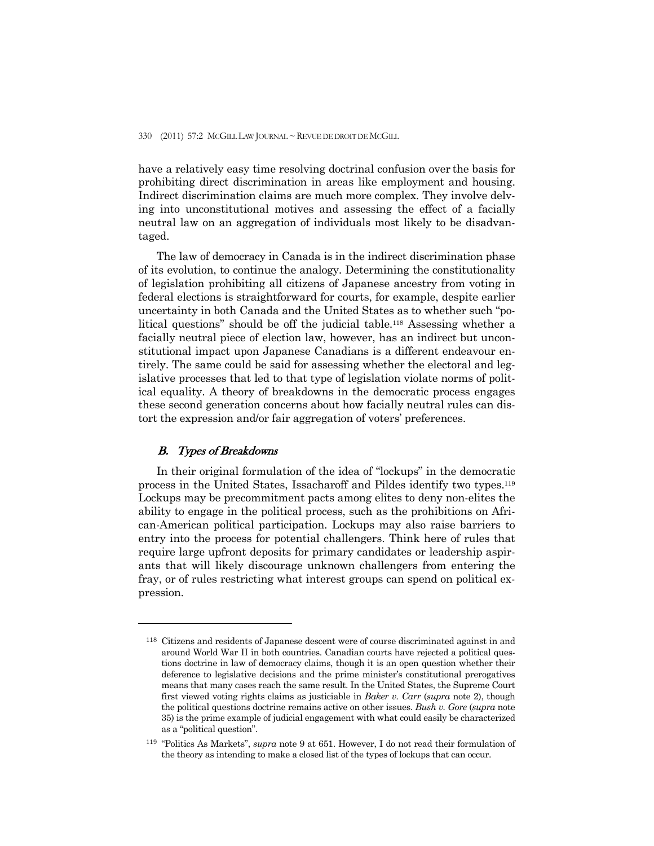have a relatively easy time resolving doctrinal confusion over the basis for prohibiting direct discrimination in areas like employment and housing. Indirect discrimination claims are much more complex. They involve delving into unconstitutional motives and assessing the effect of a facially neutral law on an aggregation of individuals most likely to be disadvantaged.

 The law of democracy in Canada is in the indirect discrimination phase of its evolution, to continue the analogy. Determining the constitutionality of legislation prohibiting all citizens of Japanese ancestry from voting in federal elections is straightforward for courts, for example, despite earlier uncertainty in both Canada and the United States as to whether such "political questions" should be off the judicial table.118 Assessing whether a facially neutral piece of election law, however, has an indirect but unconstitutional impact upon Japanese Canadians is a different endeavour entirely. The same could be said for assessing whether the electoral and legislative processes that led to that type of legislation violate norms of political equality. A theory of breakdowns in the democratic process engages these second generation concerns about how facially neutral rules can distort the expression and/or fair aggregation of voters' preferences.

#### B. Types of Breakdowns

-

In their original formulation of the idea of "lockups" in the democratic process in the United States, Issacharoff and Pildes identify two types.119 Lockups may be precommitment pacts among elites to deny non-elites the ability to engage in the political process, such as the prohibitions on African-American political participation. Lockups may also raise barriers to entry into the process for potential challengers. Think here of rules that require large upfront deposits for primary candidates or leadership aspirants that will likely discourage unknown challengers from entering the fray, or of rules restricting what interest groups can spend on political expression.

<sup>118</sup> Citizens and residents of Japanese descent were of course discriminated against in and around World War II in both countries. Canadian courts have rejected a political questions doctrine in law of democracy claims, though it is an open question whether their deference to legislative decisions and the prime minister's constitutional prerogatives means that many cases reach the same result. In the United States, the Supreme Court first viewed voting rights claims as justiciable in *Baker v. Carr* (*supra* note 2), though the political questions doctrine remains active on other issues. *Bush v. Gore* (*supra* note 35) is the prime example of judicial engagement with what could easily be characterized as a "political question".

<sup>119 &</sup>quot;Politics As Markets", *supra* note 9 at 651. However, I do not read their formulation of the theory as intending to make a closed list of the types of lockups that can occur.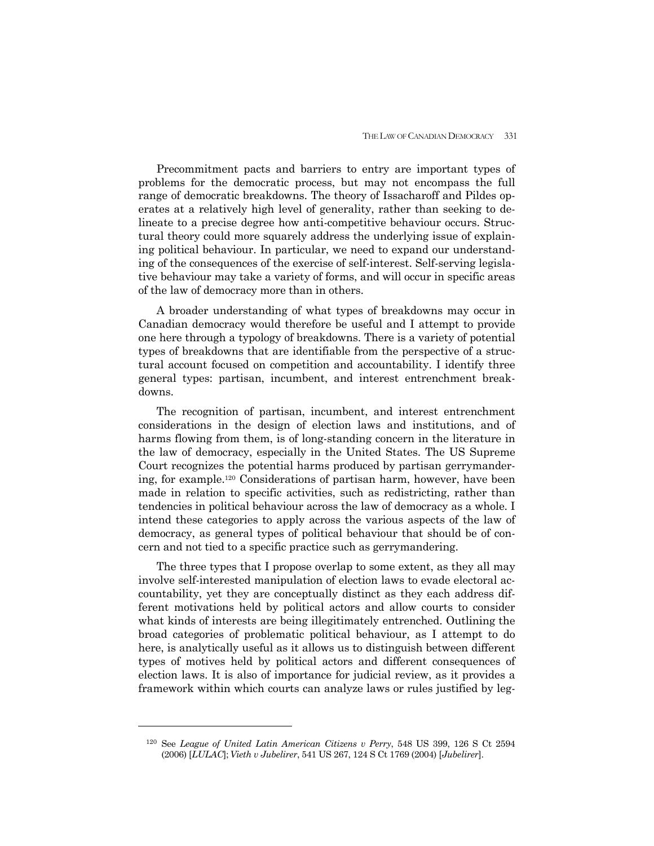Precommitment pacts and barriers to entry are important types of problems for the democratic process, but may not encompass the full range of democratic breakdowns. The theory of Issacharoff and Pildes operates at a relatively high level of generality, rather than seeking to delineate to a precise degree how anti-competitive behaviour occurs. Structural theory could more squarely address the underlying issue of explaining political behaviour. In particular, we need to expand our understanding of the consequences of the exercise of self-interest. Self-serving legislative behaviour may take a variety of forms, and will occur in specific areas of the law of democracy more than in others.

 A broader understanding of what types of breakdowns may occur in Canadian democracy would therefore be useful and I attempt to provide one here through a typology of breakdowns. There is a variety of potential types of breakdowns that are identifiable from the perspective of a structural account focused on competition and accountability. I identify three general types: partisan, incumbent, and interest entrenchment breakdowns.

 The recognition of partisan, incumbent, and interest entrenchment considerations in the design of election laws and institutions, and of harms flowing from them, is of long-standing concern in the literature in the law of democracy, especially in the United States. The US Supreme Court recognizes the potential harms produced by partisan gerrymandering, for example.120 Considerations of partisan harm, however, have been made in relation to specific activities, such as redistricting, rather than tendencies in political behaviour across the law of democracy as a whole. I intend these categories to apply across the various aspects of the law of democracy, as general types of political behaviour that should be of concern and not tied to a specific practice such as gerrymandering.

 The three types that I propose overlap to some extent, as they all may involve self-interested manipulation of election laws to evade electoral accountability, yet they are conceptually distinct as they each address different motivations held by political actors and allow courts to consider what kinds of interests are being illegitimately entrenched. Outlining the broad categories of problematic political behaviour, as I attempt to do here, is analytically useful as it allows us to distinguish between different types of motives held by political actors and different consequences of election laws. It is also of importance for judicial review, as it provides a framework within which courts can analyze laws or rules justified by leg-

<sup>120</sup> See *League of United Latin American Citizens v Perry*, 548 US 399, 126 S Ct 2594 (2006) [*LULAC*]; *Vieth v Jubelirer*, 541 US 267, 124 S Ct 1769 (2004) [*Jubelirer*].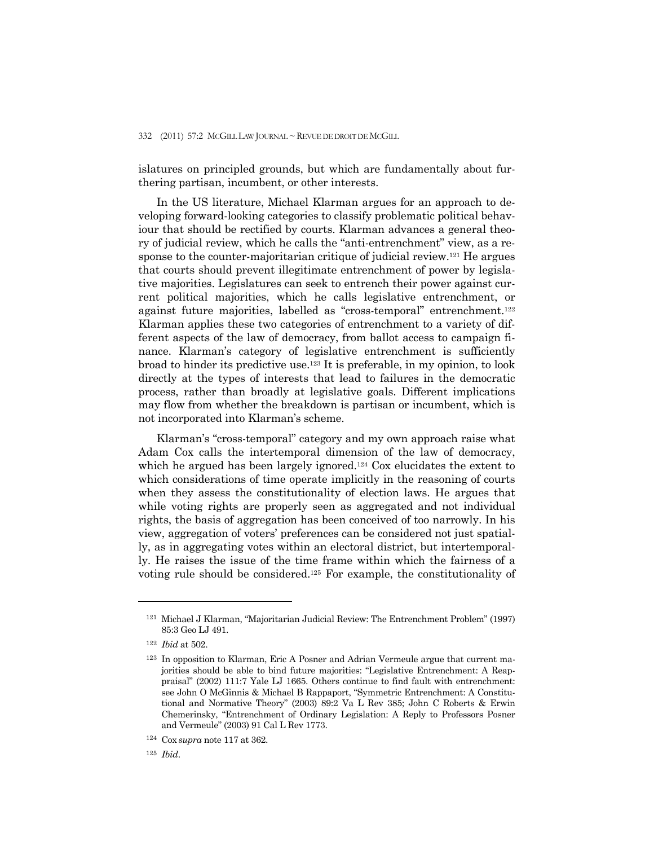islatures on principled grounds, but which are fundamentally about furthering partisan, incumbent, or other interests.

 In the US literature, Michael Klarman argues for an approach to developing forward-looking categories to classify problematic political behaviour that should be rectified by courts. Klarman advances a general theory of judicial review, which he calls the "anti-entrenchment" view, as a response to the counter-majoritarian critique of judicial review.121 He argues that courts should prevent illegitimate entrenchment of power by legislative majorities. Legislatures can seek to entrench their power against current political majorities, which he calls legislative entrenchment, or against future majorities, labelled as "cross-temporal" entrenchment.122 Klarman applies these two categories of entrenchment to a variety of different aspects of the law of democracy, from ballot access to campaign finance. Klarman's category of legislative entrenchment is sufficiently broad to hinder its predictive use.123 It is preferable, in my opinion, to look directly at the types of interests that lead to failures in the democratic process, rather than broadly at legislative goals. Different implications may flow from whether the breakdown is partisan or incumbent, which is not incorporated into Klarman's scheme.

 Klarman's "cross-temporal" category and my own approach raise what Adam Cox calls the intertemporal dimension of the law of democracy, which he argued has been largely ignored.<sup>124</sup> Cox elucidates the extent to which considerations of time operate implicitly in the reasoning of courts when they assess the constitutionality of election laws. He argues that while voting rights are properly seen as aggregated and not individual rights, the basis of aggregation has been conceived of too narrowly. In his view, aggregation of voters' preferences can be considered not just spatially, as in aggregating votes within an electoral district, but intertemporally. He raises the issue of the time frame within which the fairness of a voting rule should be considered.125 For example, the constitutionality of

<sup>121</sup> Michael J Klarman, "Majoritarian Judicial Review: The Entrenchment Problem" (1997) 85:3 Geo LJ 491.

<sup>122</sup> *Ibid* at 502.

<sup>123</sup> In opposition to Klarman, Eric A Posner and Adrian Vermeule argue that current majorities should be able to bind future majorities: "Legislative Entrenchment: A Reappraisal" (2002) 111:7 Yale LJ 1665. Others continue to find fault with entrenchment: see John O McGinnis & Michael B Rappaport, "Symmetric Entrenchment: A Constitutional and Normative Theory" (2003) 89:2 Va L Rev 385; John C Roberts & Erwin Chemerinsky, "Entrenchment of Ordinary Legislation: A Reply to Professors Posner and Vermeule" (2003) 91 Cal L Rev 1773.

<sup>124</sup> Cox *supra* note 117 at 362.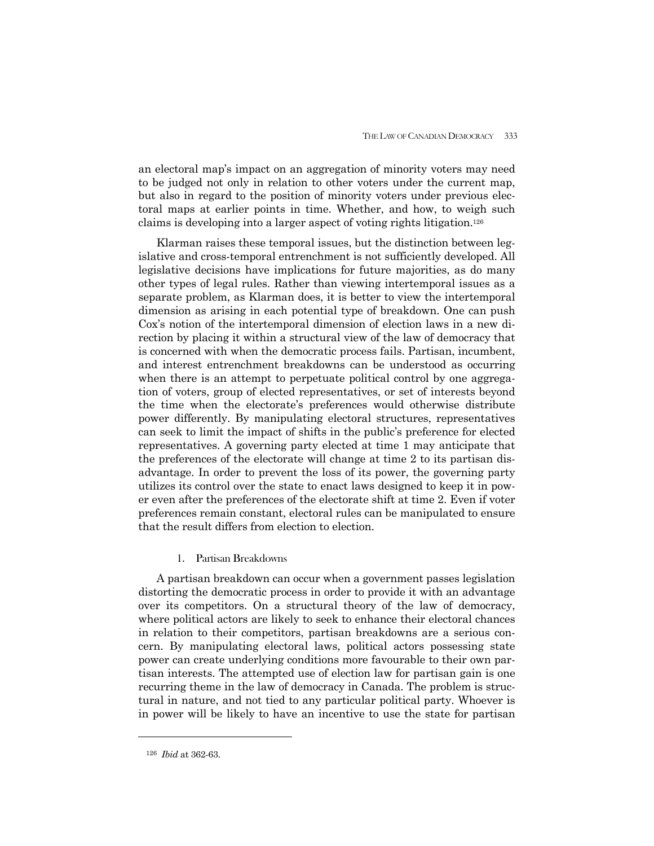an electoral map's impact on an aggregation of minority voters may need to be judged not only in relation to other voters under the current map, but also in regard to the position of minority voters under previous electoral maps at earlier points in time. Whether, and how, to weigh such claims is developing into a larger aspect of voting rights litigation.126

 Klarman raises these temporal issues, but the distinction between legislative and cross-temporal entrenchment is not sufficiently developed. All legislative decisions have implications for future majorities, as do many other types of legal rules. Rather than viewing intertemporal issues as a separate problem, as Klarman does, it is better to view the intertemporal dimension as arising in each potential type of breakdown. One can push Cox's notion of the intertemporal dimension of election laws in a new direction by placing it within a structural view of the law of democracy that is concerned with when the democratic process fails. Partisan, incumbent, and interest entrenchment breakdowns can be understood as occurring when there is an attempt to perpetuate political control by one aggregation of voters, group of elected representatives, or set of interests beyond the time when the electorate's preferences would otherwise distribute power differently. By manipulating electoral structures, representatives can seek to limit the impact of shifts in the public's preference for elected representatives. A governing party elected at time 1 may anticipate that the preferences of the electorate will change at time 2 to its partisan disadvantage. In order to prevent the loss of its power, the governing party utilizes its control over the state to enact laws designed to keep it in power even after the preferences of the electorate shift at time 2. Even if voter preferences remain constant, electoral rules can be manipulated to ensure that the result differs from election to election.

## 1. Partisan Breakdowns

 A partisan breakdown can occur when a government passes legislation distorting the democratic process in order to provide it with an advantage over its competitors. On a structural theory of the law of democracy, where political actors are likely to seek to enhance their electoral chances in relation to their competitors, partisan breakdowns are a serious concern. By manipulating electoral laws, political actors possessing state power can create underlying conditions more favourable to their own partisan interests. The attempted use of election law for partisan gain is one recurring theme in the law of democracy in Canada. The problem is structural in nature, and not tied to any particular political party. Whoever is in power will be likely to have an incentive to use the state for partisan

<sup>126</sup> *Ibid* at 362-63.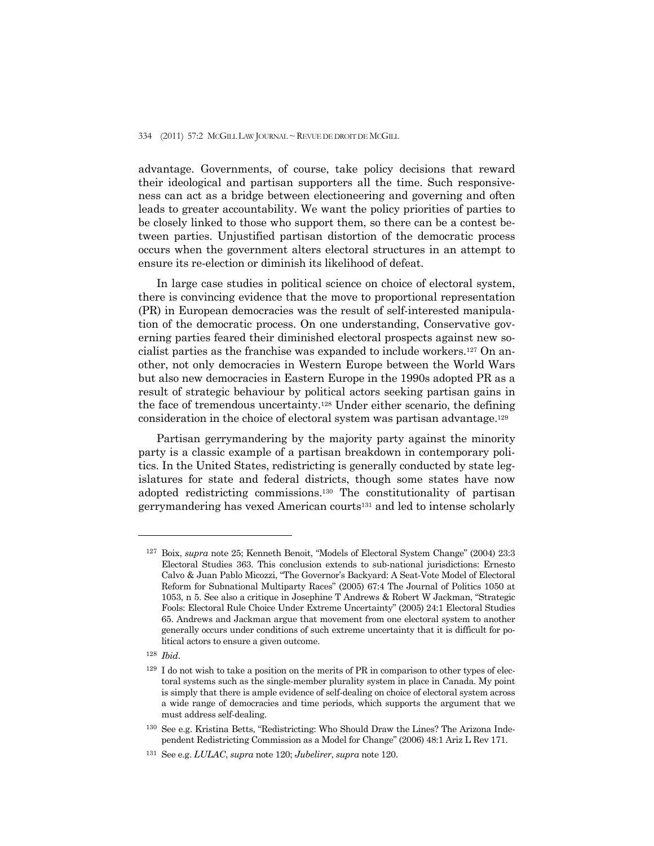advantage. Governments, of course, take policy decisions that reward their ideological and partisan supporters all the time. Such responsiveness can act as a bridge between electioneering and governing and often leads to greater accountability. We want the policy priorities of parties to be closely linked to those who support them, so there can be a contest between parties. Unjustified partisan distortion of the democratic process occurs when the government alters electoral structures in an attempt to ensure its re-election or diminish its likelihood of defeat.

 In large case studies in political science on choice of electoral system, there is convincing evidence that the move to proportional representation (PR) in European democracies was the result of self-interested manipulation of the democratic process. On one understanding, Conservative governing parties feared their diminished electoral prospects against new socialist parties as the franchise was expanded to include workers.127 On another, not only democracies in Western Europe between the World Wars but also new democracies in Eastern Europe in the 1990s adopted PR as a result of strategic behaviour by political actors seeking partisan gains in the face of tremendous uncertainty.128 Under either scenario, the defining consideration in the choice of electoral system was partisan advantage.129

 Partisan gerrymandering by the majority party against the minority party is a classic example of a partisan breakdown in contemporary politics. In the United States, redistricting is generally conducted by state legislatures for state and federal districts, though some states have now adopted redistricting commissions.130 The constitutionality of partisan gerrymandering has vexed American courts<sup>131</sup> and led to intense scholarly

128 *Ibid*.

<sup>127</sup> Boix, *supra* note 25; Kenneth Benoit, "Models of Electoral System Change" (2004) 23:3 Electoral Studies 363. This conclusion extends to sub-national jurisdictions: Ernesto Calvo & Juan Pablo Micozzi, "The Governor's Backyard: A Seat-Vote Model of Electoral Reform for Subnational Multiparty Races" (2005) 67:4 The Journal of Politics 1050 at 1053, n 5. See also a critique in Josephine T Andrews & Robert W Jackman, "Strategic Fools: Electoral Rule Choice Under Extreme Uncertainty" (2005) 24:1 Electoral Studies 65. Andrews and Jackman argue that movement from one electoral system to another generally occurs under conditions of such extreme uncertainty that it is difficult for political actors to ensure a given outcome.

 $129$  I do not wish to take a position on the merits of PR in comparison to other types of electoral systems such as the single-member plurality system in place in Canada. My point is simply that there is ample evidence of self-dealing on choice of electoral system across a wide range of democracies and time periods, which supports the argument that we must address self-dealing.

<sup>130</sup> See e.g. Kristina Betts, "Redistricting: Who Should Draw the Lines? The Arizona Independent Redistricting Commission as a Model for Change" (2006) 48:1 Ariz L Rev 171.

<sup>131</sup> See e.g. *LULAC*, *supra* note 120; *Jubelirer*, *supra* note 120.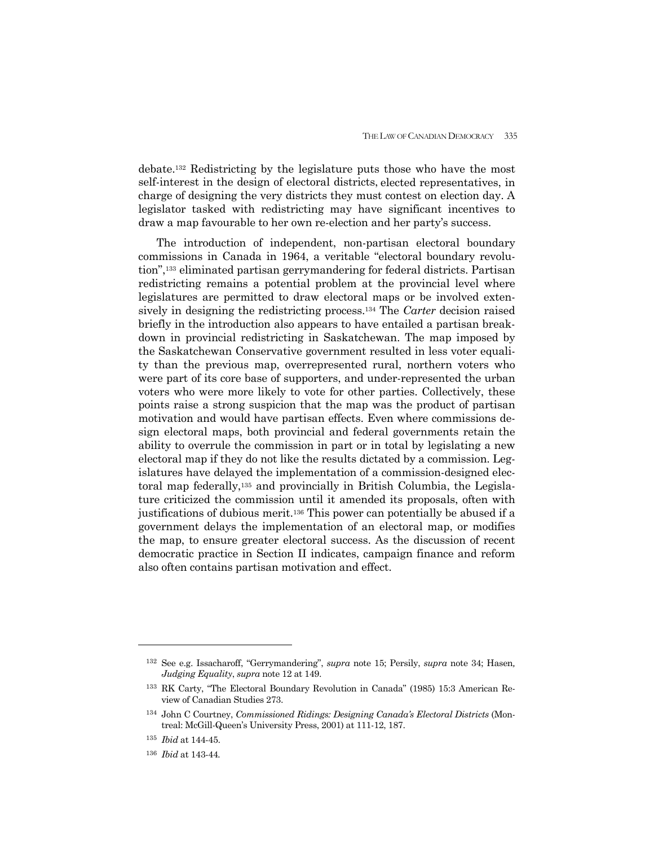debate.132 Redistricting by the legislature puts those who have the most self-interest in the design of electoral districts, elected representatives, in charge of designing the very districts they must contest on election day. A legislator tasked with redistricting may have significant incentives to draw a map favourable to her own re-election and her party's success.

 The introduction of independent, non-partisan electoral boundary commissions in Canada in 1964, a veritable "electoral boundary revolution",133 eliminated partisan gerrymandering for federal districts. Partisan redistricting remains a potential problem at the provincial level where legislatures are permitted to draw electoral maps or be involved extensively in designing the redistricting process.134 The *Carter* decision raised briefly in the introduction also appears to have entailed a partisan breakdown in provincial redistricting in Saskatchewan. The map imposed by the Saskatchewan Conservative government resulted in less voter equality than the previous map, overrepresented rural, northern voters who were part of its core base of supporters, and under-represented the urban voters who were more likely to vote for other parties. Collectively, these points raise a strong suspicion that the map was the product of partisan motivation and would have partisan effects. Even where commissions design electoral maps, both provincial and federal governments retain the ability to overrule the commission in part or in total by legislating a new electoral map if they do not like the results dictated by a commission. Legislatures have delayed the implementation of a commission-designed electoral map federally,135 and provincially in British Columbia, the Legislature criticized the commission until it amended its proposals, often with justifications of dubious merit.136 This power can potentially be abused if a government delays the implementation of an electoral map, or modifies the map, to ensure greater electoral success. As the discussion of recent democratic practice in Section II indicates, campaign finance and reform also often contains partisan motivation and effect.

<sup>132</sup> See e.g. Issacharoff, "Gerrymandering", *supra* note 15; Persily, *supra* note 34; Hasen*, Judging Equality*, *supra* note 12 at 149.

<sup>133</sup> RK Carty, "The Electoral Boundary Revolution in Canada" (1985) 15:3 American Review of Canadian Studies 273.

<sup>134</sup> John C Courtney, *Commissioned Ridings: Designing Canada's Electoral Districts* (Montreal: McGill-Queen's University Press, 2001) at 111-12, 187.

<sup>135</sup> *Ibid* at 144-45.

<sup>136</sup> *Ibid* at 143-44*.*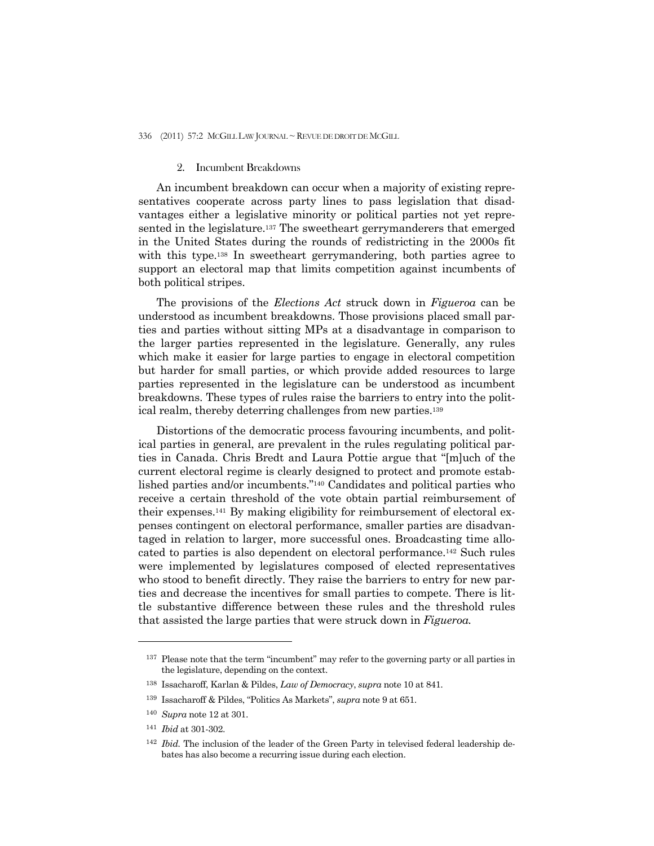#### 2. Incumbent Breakdowns

 An incumbent breakdown can occur when a majority of existing representatives cooperate across party lines to pass legislation that disadvantages either a legislative minority or political parties not yet represented in the legislature.137 The sweetheart gerrymanderers that emerged in the United States during the rounds of redistricting in the 2000s fit with this type.<sup>138</sup> In sweetheart gerrymandering, both parties agree to support an electoral map that limits competition against incumbents of both political stripes.

 The provisions of the *Elections Act* struck down in *Figueroa* can be understood as incumbent breakdowns. Those provisions placed small parties and parties without sitting MPs at a disadvantage in comparison to the larger parties represented in the legislature. Generally, any rules which make it easier for large parties to engage in electoral competition but harder for small parties, or which provide added resources to large parties represented in the legislature can be understood as incumbent breakdowns. These types of rules raise the barriers to entry into the political realm, thereby deterring challenges from new parties.139

 Distortions of the democratic process favouring incumbents, and political parties in general, are prevalent in the rules regulating political parties in Canada. Chris Bredt and Laura Pottie argue that "[m]uch of the current electoral regime is clearly designed to protect and promote established parties and/or incumbents."140 Candidates and political parties who receive a certain threshold of the vote obtain partial reimbursement of their expenses.141 By making eligibility for reimbursement of electoral expenses contingent on electoral performance, smaller parties are disadvantaged in relation to larger, more successful ones. Broadcasting time allocated to parties is also dependent on electoral performance.142 Such rules were implemented by legislatures composed of elected representatives who stood to benefit directly. They raise the barriers to entry for new parties and decrease the incentives for small parties to compete. There is little substantive difference between these rules and the threshold rules that assisted the large parties that were struck down in *Figueroa.* 

<sup>137</sup> Please note that the term "incumbent" may refer to the governing party or all parties in the legislature, depending on the context.

<sup>138</sup> Issacharoff, Karlan & Pildes, *Law of Democracy*, *supra* note 10 at 841.

<sup>139</sup> Issacharoff & Pildes, "Politics As Markets", *supra* note 9 at 651.

<sup>140</sup> *Supra* note 12 at 301.

<sup>141</sup> *Ibid* at 301-302.

<sup>142</sup> *Ibid.* The inclusion of the leader of the Green Party in televised federal leadership debates has also become a recurring issue during each election.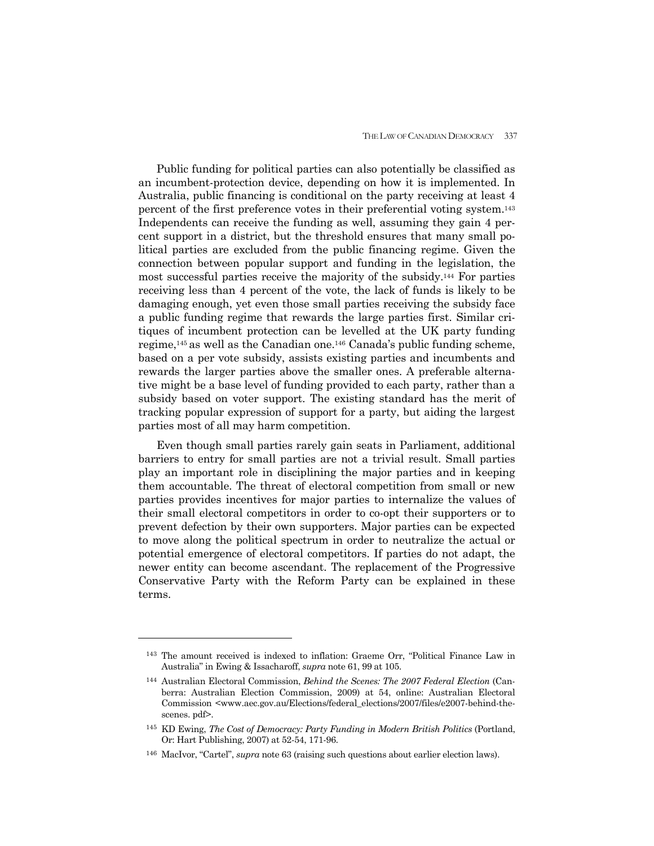Public funding for political parties can also potentially be classified as an incumbent-protection device, depending on how it is implemented. In Australia, public financing is conditional on the party receiving at least 4 percent of the first preference votes in their preferential voting system.143 Independents can receive the funding as well, assuming they gain 4 percent support in a district, but the threshold ensures that many small political parties are excluded from the public financing regime. Given the connection between popular support and funding in the legislation, the most successful parties receive the majority of the subsidy.144 For parties receiving less than 4 percent of the vote, the lack of funds is likely to be damaging enough, yet even those small parties receiving the subsidy face a public funding regime that rewards the large parties first. Similar critiques of incumbent protection can be levelled at the UK party funding regime,145 as well as the Canadian one.146 Canada's public funding scheme, based on a per vote subsidy, assists existing parties and incumbents and rewards the larger parties above the smaller ones. A preferable alternative might be a base level of funding provided to each party, rather than a subsidy based on voter support. The existing standard has the merit of tracking popular expression of support for a party, but aiding the largest parties most of all may harm competition.

 Even though small parties rarely gain seats in Parliament, additional barriers to entry for small parties are not a trivial result. Small parties play an important role in disciplining the major parties and in keeping them accountable. The threat of electoral competition from small or new parties provides incentives for major parties to internalize the values of their small electoral competitors in order to co-opt their supporters or to prevent defection by their own supporters. Major parties can be expected to move along the political spectrum in order to neutralize the actual or potential emergence of electoral competitors. If parties do not adapt, the newer entity can become ascendant. The replacement of the Progressive Conservative Party with the Reform Party can be explained in these terms.

<sup>143</sup> The amount received is indexed to inflation: Graeme Orr, "Political Finance Law in Australia" in Ewing & Issacharoff, *supra* note 61, 99 at 105.

<sup>144</sup>Australian Electoral Commission, *Behind the Scenes: The 2007 Federal Election* (Canberra: Australian Election Commission, 2009) at 54, online: Australian Electoral Commission <www.aec.gov.au/Elections/federal\_elections/2007/files/e2007-behind-thescenes. pdf>.

<sup>&</sup>lt;sup>145</sup> KD Ewing, *The Cost of Democracy: Party Funding in Modern British Politics* (Portland, Or: Hart Publishing, 2007) at 52-54, 171-96.

<sup>146</sup> MacIvor, "Cartel", *supra* note 63 (raising such questions about earlier election laws).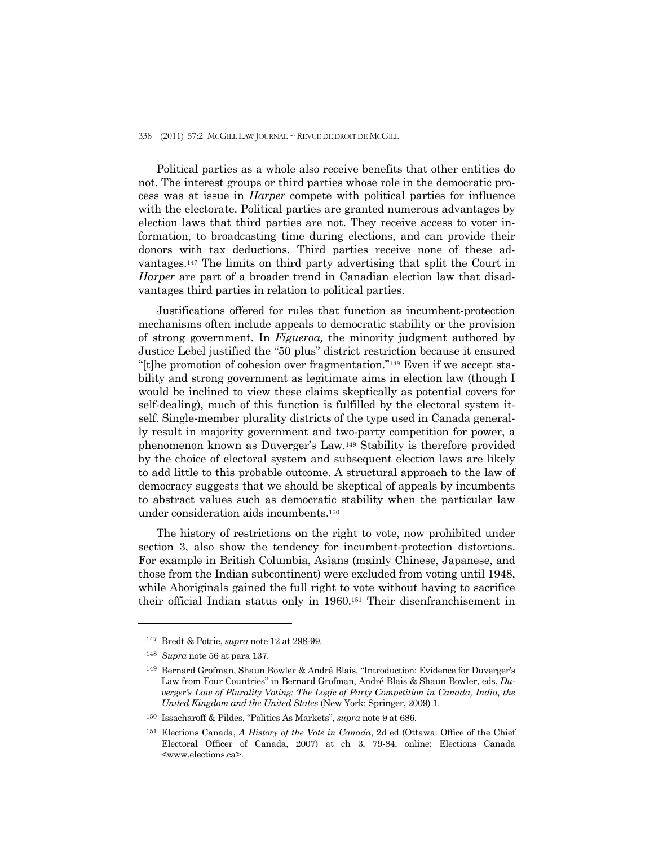Political parties as a whole also receive benefits that other entities do not. The interest groups or third parties whose role in the democratic process was at issue in *Harper* compete with political parties for influence with the electorate. Political parties are granted numerous advantages by election laws that third parties are not. They receive access to voter information, to broadcasting time during elections, and can provide their donors with tax deductions. Third parties receive none of these advantages.147 The limits on third party advertising that split the Court in *Harper* are part of a broader trend in Canadian election law that disadvantages third parties in relation to political parties.

 Justifications offered for rules that function as incumbent-protection mechanisms often include appeals to democratic stability or the provision of strong government. In *Figueroa,* the minority judgment authored by Justice Lebel justified the "50 plus" district restriction because it ensured "[t]he promotion of cohesion over fragmentation."148 Even if we accept stability and strong government as legitimate aims in election law (though I would be inclined to view these claims skeptically as potential covers for self-dealing), much of this function is fulfilled by the electoral system itself. Single-member plurality districts of the type used in Canada generally result in majority government and two-party competition for power, a phenomenon known as Duverger's Law.149 Stability is therefore provided by the choice of electoral system and subsequent election laws are likely to add little to this probable outcome. A structural approach to the law of democracy suggests that we should be skeptical of appeals by incumbents to abstract values such as democratic stability when the particular law under consideration aids incumbents.150

 The history of restrictions on the right to vote, now prohibited under section 3, also show the tendency for incumbent-protection distortions. For example in British Columbia, Asians (mainly Chinese, Japanese, and those from the Indian subcontinent) were excluded from voting until 1948, while Aboriginals gained the full right to vote without having to sacrifice their official Indian status only in 1960.151 Their disenfranchisement in

<sup>147</sup> Bredt & Pottie, *supra* note 12 at 298-99.

<sup>148</sup> *Supra* note 56 at para 137.

<sup>149</sup> Bernard Grofman, Shaun Bowler & André Blais, "Introduction: Evidence for Duverger's Law from Four Countries" in Bernard Grofman, André Blais & Shaun Bowler, eds, *Duverger's Law of Plurality Voting: The Logic of Party Competition in Canada, India, the United Kingdom and the United States* (New York: Springer, 2009) 1.

<sup>150</sup> Issacharoff & Pildes, "Politics As Markets", *supra* note 9 at 686.

<sup>151</sup> Elections Canada, *A History of the Vote in Canada*, 2d ed (Ottawa: Office of the Chief Electoral Officer of Canada, 2007) at ch 3, 79-84, online: Elections Canada <www.elections.ca>.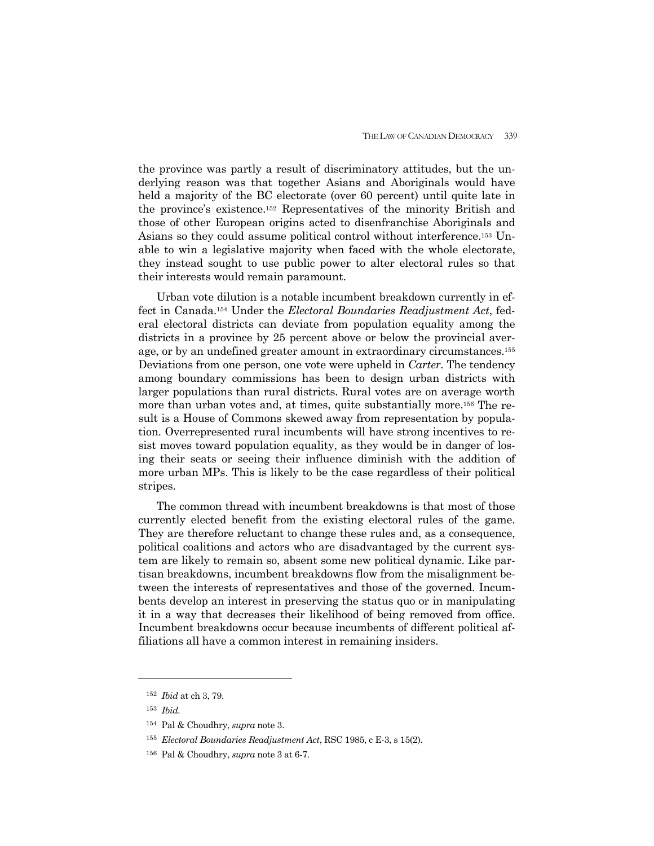the province was partly a result of discriminatory attitudes, but the underlying reason was that together Asians and Aboriginals would have held a majority of the BC electorate (over 60 percent) until quite late in the province's existence.152 Representatives of the minority British and those of other European origins acted to disenfranchise Aboriginals and Asians so they could assume political control without interference.153 Unable to win a legislative majority when faced with the whole electorate, they instead sought to use public power to alter electoral rules so that their interests would remain paramount.

 Urban vote dilution is a notable incumbent breakdown currently in effect in Canada.154 Under the *Electoral Boundaries Readjustment Act*, federal electoral districts can deviate from population equality among the districts in a province by 25 percent above or below the provincial average, or by an undefined greater amount in extraordinary circumstances.155 Deviations from one person, one vote were upheld in *Carter.* The tendency among boundary commissions has been to design urban districts with larger populations than rural districts. Rural votes are on average worth more than urban votes and, at times, quite substantially more.156 The result is a House of Commons skewed away from representation by population. Overrepresented rural incumbents will have strong incentives to resist moves toward population equality, as they would be in danger of losing their seats or seeing their influence diminish with the addition of more urban MPs. This is likely to be the case regardless of their political stripes.

 The common thread with incumbent breakdowns is that most of those currently elected benefit from the existing electoral rules of the game. They are therefore reluctant to change these rules and, as a consequence, political coalitions and actors who are disadvantaged by the current system are likely to remain so, absent some new political dynamic. Like partisan breakdowns, incumbent breakdowns flow from the misalignment between the interests of representatives and those of the governed. Incumbents develop an interest in preserving the status quo or in manipulating it in a way that decreases their likelihood of being removed from office. Incumbent breakdowns occur because incumbents of different political affiliations all have a common interest in remaining insiders.

<sup>152</sup> *Ibid* at ch 3, 79.

<sup>153</sup> *Ibid.* 

<sup>154</sup> Pal & Choudhry, *supra* note 3.

<sup>155</sup> *Electoral Boundaries Readjustment Act*, RSC 1985, c E-3, s 15(2).

<sup>156</sup> Pal & Choudhry, *supra* note 3 at 6-7.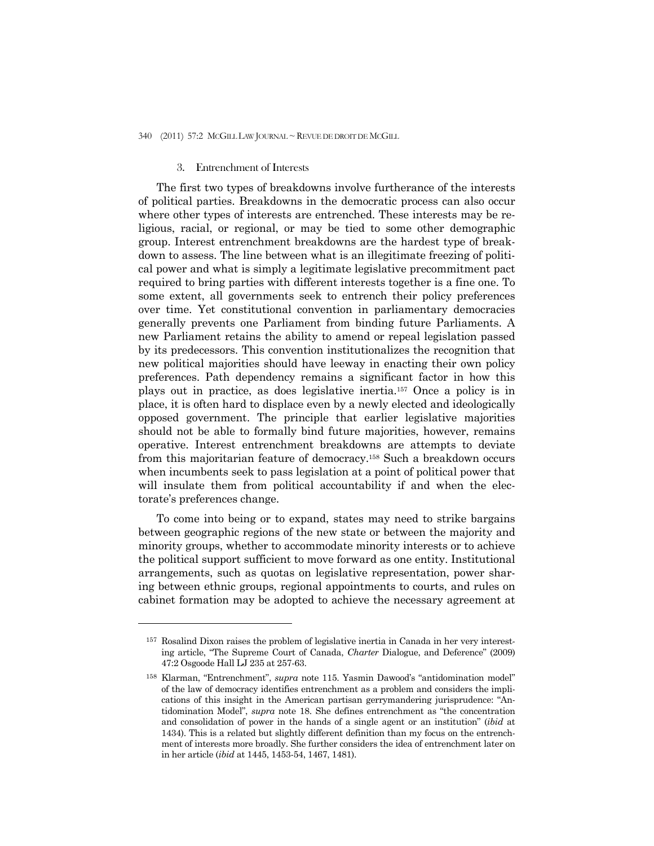#### 3. Entrenchment of Interests

-

 The first two types of breakdowns involve furtherance of the interests of political parties. Breakdowns in the democratic process can also occur where other types of interests are entrenched. These interests may be religious, racial, or regional, or may be tied to some other demographic group. Interest entrenchment breakdowns are the hardest type of breakdown to assess. The line between what is an illegitimate freezing of political power and what is simply a legitimate legislative precommitment pact required to bring parties with different interests together is a fine one. To some extent, all governments seek to entrench their policy preferences over time. Yet constitutional convention in parliamentary democracies generally prevents one Parliament from binding future Parliaments. A new Parliament retains the ability to amend or repeal legislation passed by its predecessors. This convention institutionalizes the recognition that new political majorities should have leeway in enacting their own policy preferences. Path dependency remains a significant factor in how this plays out in practice, as does legislative inertia.157 Once a policy is in place, it is often hard to displace even by a newly elected and ideologically opposed government. The principle that earlier legislative majorities should not be able to formally bind future majorities, however, remains operative. Interest entrenchment breakdowns are attempts to deviate from this majoritarian feature of democracy.158 Such a breakdown occurs when incumbents seek to pass legislation at a point of political power that will insulate them from political accountability if and when the electorate's preferences change.

 To come into being or to expand, states may need to strike bargains between geographic regions of the new state or between the majority and minority groups, whether to accommodate minority interests or to achieve the political support sufficient to move forward as one entity. Institutional arrangements, such as quotas on legislative representation, power sharing between ethnic groups, regional appointments to courts, and rules on cabinet formation may be adopted to achieve the necessary agreement at

<sup>157</sup> Rosalind Dixon raises the problem of legislative inertia in Canada in her very interesting article, "The Supreme Court of Canada, *Charter* Dialogue, and Deference" (2009) 47:2 Osgoode Hall LJ 235 at 257-63.

<sup>158</sup> Klarman, "Entrenchment", *supra* note 115. Yasmin Dawood's "antidomination model" of the law of democracy identifies entrenchment as a problem and considers the implications of this insight in the American partisan gerrymandering jurisprudence: "Antidomination Model", *supra* note 18. She defines entrenchment as "the concentration and consolidation of power in the hands of a single agent or an institution" (*ibid* at 1434). This is a related but slightly different definition than my focus on the entrenchment of interests more broadly. She further considers the idea of entrenchment later on in her article (*ibid* at 1445, 1453-54, 1467, 1481).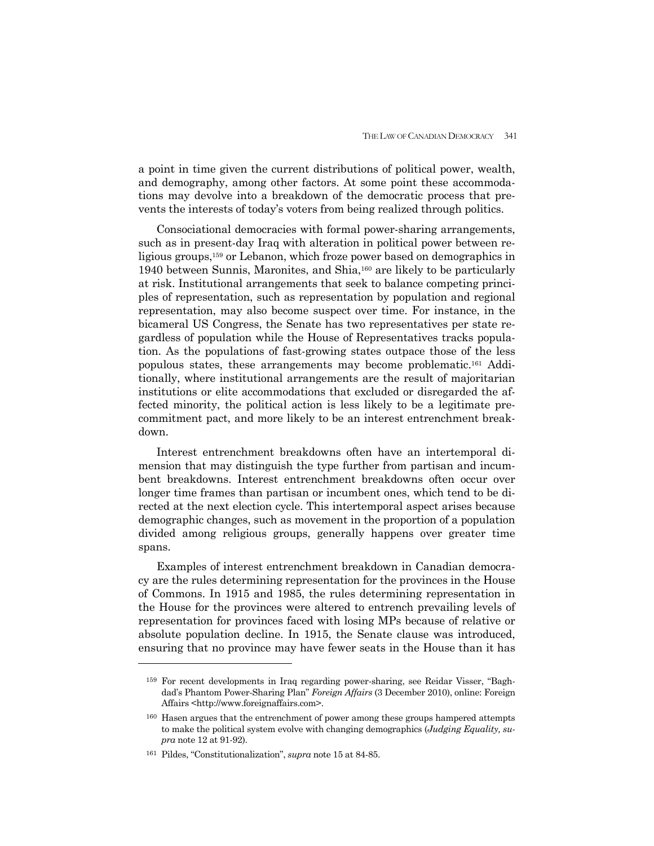a point in time given the current distributions of political power, wealth, and demography, among other factors. At some point these accommodations may devolve into a breakdown of the democratic process that prevents the interests of today's voters from being realized through politics.

 Consociational democracies with formal power-sharing arrangements, such as in present-day Iraq with alteration in political power between religious groups,159 or Lebanon, which froze power based on demographics in 1940 between Sunnis, Maronites, and Shia,<sup>160</sup> are likely to be particularly at risk. Institutional arrangements that seek to balance competing principles of representation, such as representation by population and regional representation, may also become suspect over time. For instance, in the bicameral US Congress, the Senate has two representatives per state regardless of population while the House of Representatives tracks population. As the populations of fast-growing states outpace those of the less populous states, these arrangements may become problematic.161 Additionally, where institutional arrangements are the result of majoritarian institutions or elite accommodations that excluded or disregarded the affected minority, the political action is less likely to be a legitimate precommitment pact, and more likely to be an interest entrenchment breakdown.

 Interest entrenchment breakdowns often have an intertemporal dimension that may distinguish the type further from partisan and incumbent breakdowns. Interest entrenchment breakdowns often occur over longer time frames than partisan or incumbent ones, which tend to be directed at the next election cycle. This intertemporal aspect arises because demographic changes, such as movement in the proportion of a population divided among religious groups, generally happens over greater time spans.

 Examples of interest entrenchment breakdown in Canadian democracy are the rules determining representation for the provinces in the House of Commons. In 1915 and 1985, the rules determining representation in the House for the provinces were altered to entrench prevailing levels of representation for provinces faced with losing MPs because of relative or absolute population decline. In 1915, the Senate clause was introduced, ensuring that no province may have fewer seats in the House than it has

<sup>159</sup> For recent developments in Iraq regarding power-sharing, see Reidar Visser, "Baghdad's Phantom Power-Sharing Plan" *Foreign Affairs* (3 December 2010), online: Foreign Affairs <http://www.foreignaffairs.com>.

<sup>160</sup> Hasen argues that the entrenchment of power among these groups hampered attempts to make the political system evolve with changing demographics (*Judging Equality, supra* note 12 at 91-92).

<sup>161</sup> Pildes, "Constitutionalization", *supra* note 15 at 84-85.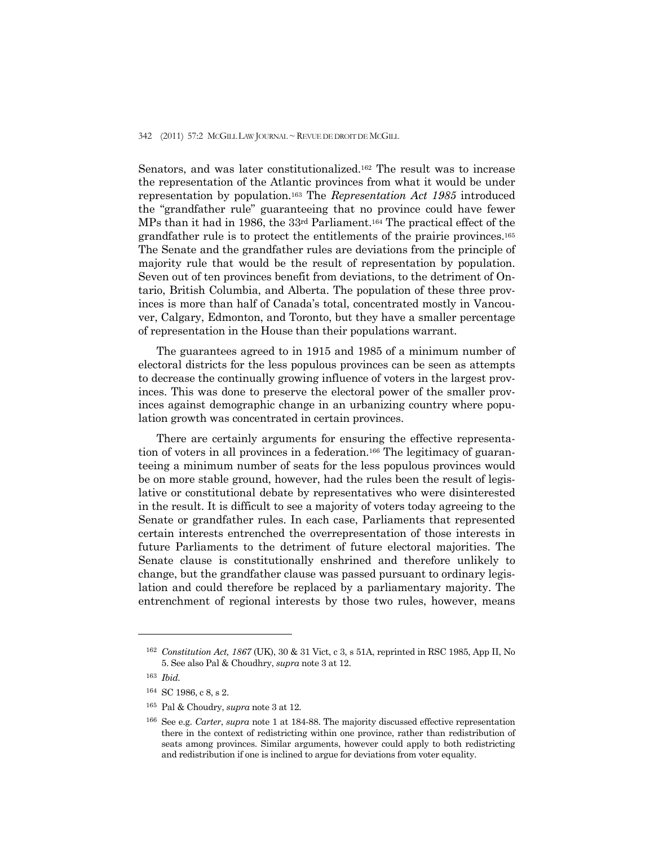Senators, and was later constitutionalized.162 The result was to increase the representation of the Atlantic provinces from what it would be under representation by population.163 The *Representation Act 1985* introduced the "grandfather rule" guaranteeing that no province could have fewer MPs than it had in 1986, the 33rd Parliament.164 The practical effect of the grandfather rule is to protect the entitlements of the prairie provinces.165 The Senate and the grandfather rules are deviations from the principle of majority rule that would be the result of representation by population. Seven out of ten provinces benefit from deviations, to the detriment of Ontario, British Columbia, and Alberta. The population of these three provinces is more than half of Canada's total, concentrated mostly in Vancouver, Calgary, Edmonton, and Toronto, but they have a smaller percentage of representation in the House than their populations warrant.

 The guarantees agreed to in 1915 and 1985 of a minimum number of electoral districts for the less populous provinces can be seen as attempts to decrease the continually growing influence of voters in the largest provinces. This was done to preserve the electoral power of the smaller provinces against demographic change in an urbanizing country where population growth was concentrated in certain provinces.

 There are certainly arguments for ensuring the effective representation of voters in all provinces in a federation.166 The legitimacy of guaranteeing a minimum number of seats for the less populous provinces would be on more stable ground, however, had the rules been the result of legislative or constitutional debate by representatives who were disinterested in the result. It is difficult to see a majority of voters today agreeing to the Senate or grandfather rules. In each case, Parliaments that represented certain interests entrenched the overrepresentation of those interests in future Parliaments to the detriment of future electoral majorities. The Senate clause is constitutionally enshrined and therefore unlikely to change, but the grandfather clause was passed pursuant to ordinary legislation and could therefore be replaced by a parliamentary majority. The entrenchment of regional interests by those two rules, however, means

<sup>162</sup> *Constitution Act, 1867* (UK), 30 & 31 Vict, c 3, s 51A, reprinted in RSC 1985, App II, No 5. See also Pal & Choudhry, *supra* note 3 at 12.

<sup>163</sup> *Ibid.* 

<sup>164</sup> SC 1986, c 8, s 2.

<sup>165</sup>Pal & Choudry, *supra* note 3 at 12*.* 

<sup>166</sup> See e.g. *Carter*, *supra* note 1 at 184-88. The majority discussed effective representation there in the context of redistricting within one province, rather than redistribution of seats among provinces. Similar arguments, however could apply to both redistricting and redistribution if one is inclined to argue for deviations from voter equality.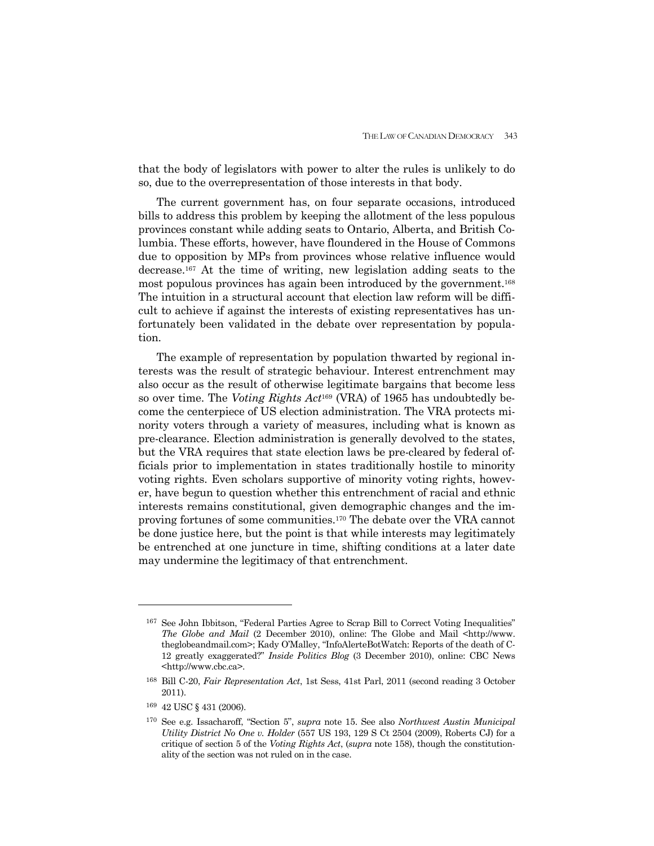that the body of legislators with power to alter the rules is unlikely to do so, due to the overrepresentation of those interests in that body.

 The current government has, on four separate occasions, introduced bills to address this problem by keeping the allotment of the less populous provinces constant while adding seats to Ontario, Alberta, and British Columbia. These efforts, however, have floundered in the House of Commons due to opposition by MPs from provinces whose relative influence would decrease.167 At the time of writing, new legislation adding seats to the most populous provinces has again been introduced by the government.168 The intuition in a structural account that election law reform will be difficult to achieve if against the interests of existing representatives has unfortunately been validated in the debate over representation by population.

 The example of representation by population thwarted by regional interests was the result of strategic behaviour. Interest entrenchment may also occur as the result of otherwise legitimate bargains that become less so over time. The *Voting Rights Act*169 (VRA) of 1965 has undoubtedly become the centerpiece of US election administration. The VRA protects minority voters through a variety of measures, including what is known as pre-clearance. Election administration is generally devolved to the states, but the VRA requires that state election laws be pre-cleared by federal officials prior to implementation in states traditionally hostile to minority voting rights. Even scholars supportive of minority voting rights, however, have begun to question whether this entrenchment of racial and ethnic interests remains constitutional, given demographic changes and the improving fortunes of some communities.170 The debate over the VRA cannot be done justice here, but the point is that while interests may legitimately be entrenched at one juncture in time, shifting conditions at a later date may undermine the legitimacy of that entrenchment.

<sup>&</sup>lt;sup>167</sup> See John Ibbitson, "Federal Parties Agree to Scrap Bill to Correct Voting Inequalities" *The Globe and Mail (2 December 2010), online: The Globe and Mail*  $\lt$ *http://www.* theglobeandmail.com>; Kady O'Malley, "InfoAlerteBotWatch: Reports of the death of C-12 greatly exaggerated?" *Inside Politics Blog* (3 December 2010), online: CBC News <http://www.cbc.ca>.

<sup>168</sup> Bill C-20, *Fair Representation Act*, 1st Sess, 41st Parl, 2011 (second reading 3 October 2011).

<sup>169 42</sup> USC § 431 (2006).

<sup>170</sup> See e.g. Issacharoff, "Section 5", *supra* note 15. See also *Northwest Austin Municipal Utility District No One v. Holder* (557 US 193, 129 S Ct 2504 (2009), Roberts CJ) for a critique of section 5 of the *Voting Rights Act*, (*supra* note 158), though the constitutionality of the section was not ruled on in the case.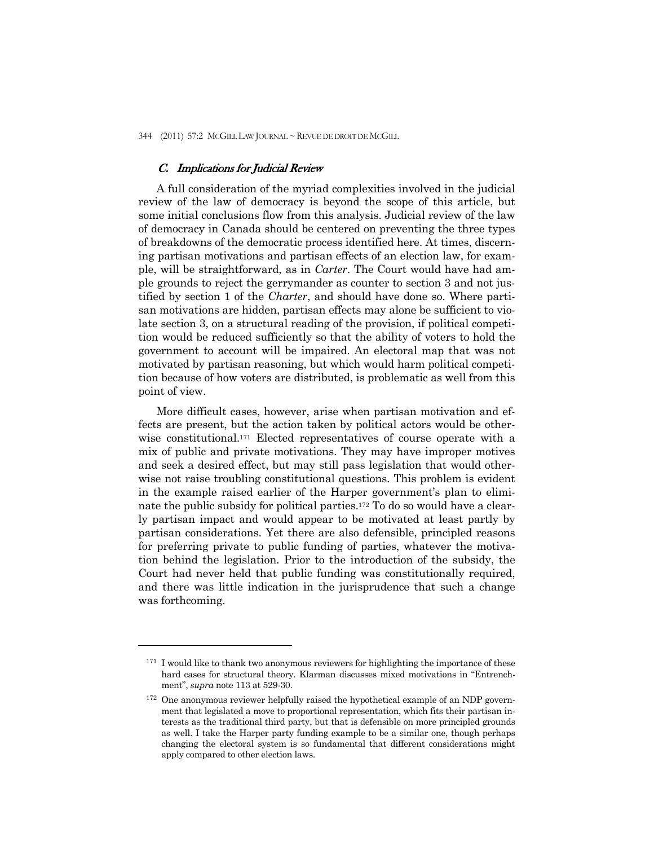#### C. Implications for Judicial Review

-

 A full consideration of the myriad complexities involved in the judicial review of the law of democracy is beyond the scope of this article, but some initial conclusions flow from this analysis. Judicial review of the law of democracy in Canada should be centered on preventing the three types of breakdowns of the democratic process identified here. At times, discerning partisan motivations and partisan effects of an election law, for example, will be straightforward, as in *Carter*. The Court would have had ample grounds to reject the gerrymander as counter to section 3 and not justified by section 1 of the *Charter*, and should have done so. Where partisan motivations are hidden, partisan effects may alone be sufficient to violate section 3, on a structural reading of the provision, if political competition would be reduced sufficiently so that the ability of voters to hold the government to account will be impaired. An electoral map that was not motivated by partisan reasoning, but which would harm political competition because of how voters are distributed, is problematic as well from this point of view.

 More difficult cases, however, arise when partisan motivation and effects are present, but the action taken by political actors would be otherwise constitutional.171 Elected representatives of course operate with a mix of public and private motivations. They may have improper motives and seek a desired effect, but may still pass legislation that would otherwise not raise troubling constitutional questions. This problem is evident in the example raised earlier of the Harper government's plan to eliminate the public subsidy for political parties.172 To do so would have a clearly partisan impact and would appear to be motivated at least partly by partisan considerations. Yet there are also defensible, principled reasons for preferring private to public funding of parties, whatever the motivation behind the legislation. Prior to the introduction of the subsidy, the Court had never held that public funding was constitutionally required, and there was little indication in the jurisprudence that such a change was forthcoming.

<sup>&</sup>lt;sup>171</sup> I would like to thank two anonymous reviewers for highlighting the importance of these hard cases for structural theory. Klarman discusses mixed motivations in "Entrenchment", *supra* note 113 at 529-30.

<sup>172</sup> One anonymous reviewer helpfully raised the hypothetical example of an NDP government that legislated a move to proportional representation, which fits their partisan interests as the traditional third party, but that is defensible on more principled grounds as well. I take the Harper party funding example to be a similar one, though perhaps changing the electoral system is so fundamental that different considerations might apply compared to other election laws.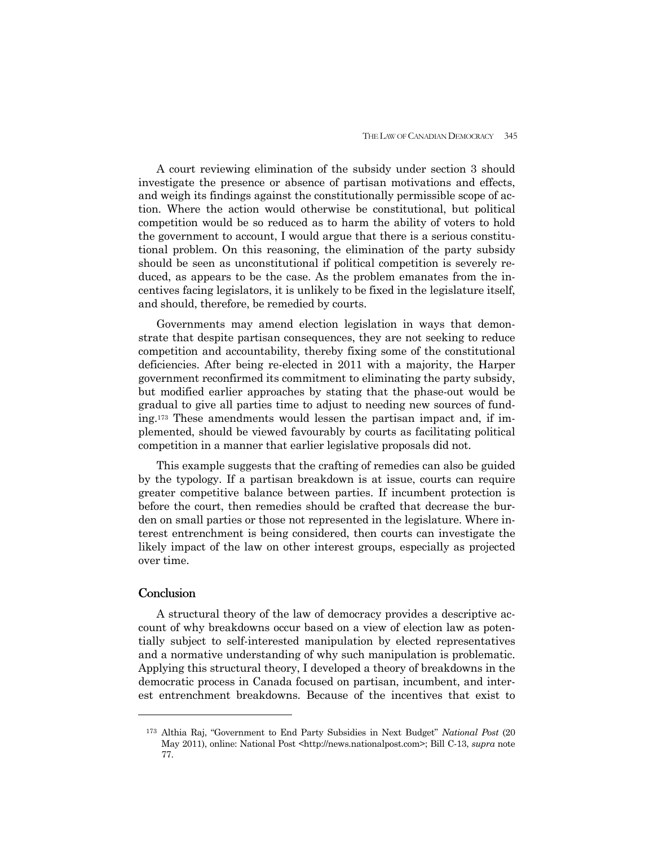A court reviewing elimination of the subsidy under section 3 should investigate the presence or absence of partisan motivations and effects, and weigh its findings against the constitutionally permissible scope of action. Where the action would otherwise be constitutional, but political competition would be so reduced as to harm the ability of voters to hold the government to account, I would argue that there is a serious constitutional problem. On this reasoning, the elimination of the party subsidy should be seen as unconstitutional if political competition is severely reduced, as appears to be the case. As the problem emanates from the incentives facing legislators, it is unlikely to be fixed in the legislature itself, and should, therefore, be remedied by courts.

 Governments may amend election legislation in ways that demonstrate that despite partisan consequences, they are not seeking to reduce competition and accountability, thereby fixing some of the constitutional deficiencies. After being re-elected in 2011 with a majority, the Harper government reconfirmed its commitment to eliminating the party subsidy, but modified earlier approaches by stating that the phase-out would be gradual to give all parties time to adjust to needing new sources of funding.173 These amendments would lessen the partisan impact and, if implemented, should be viewed favourably by courts as facilitating political competition in a manner that earlier legislative proposals did not.

 This example suggests that the crafting of remedies can also be guided by the typology. If a partisan breakdown is at issue, courts can require greater competitive balance between parties. If incumbent protection is before the court, then remedies should be crafted that decrease the burden on small parties or those not represented in the legislature. Where interest entrenchment is being considered, then courts can investigate the likely impact of the law on other interest groups, especially as projected over time.

## **Conclusion**

-

A structural theory of the law of democracy provides a descriptive account of why breakdowns occur based on a view of election law as potentially subject to self-interested manipulation by elected representatives and a normative understanding of why such manipulation is problematic. Applying this structural theory, I developed a theory of breakdowns in the democratic process in Canada focused on partisan, incumbent, and interest entrenchment breakdowns. Because of the incentives that exist to

<sup>173</sup> Althia Raj, "Government to End Party Subsidies in Next Budget" *National Post* (20 May 2011), online: National Post <http://news.nationalpost.com>; Bill C-13, *supra* note 77.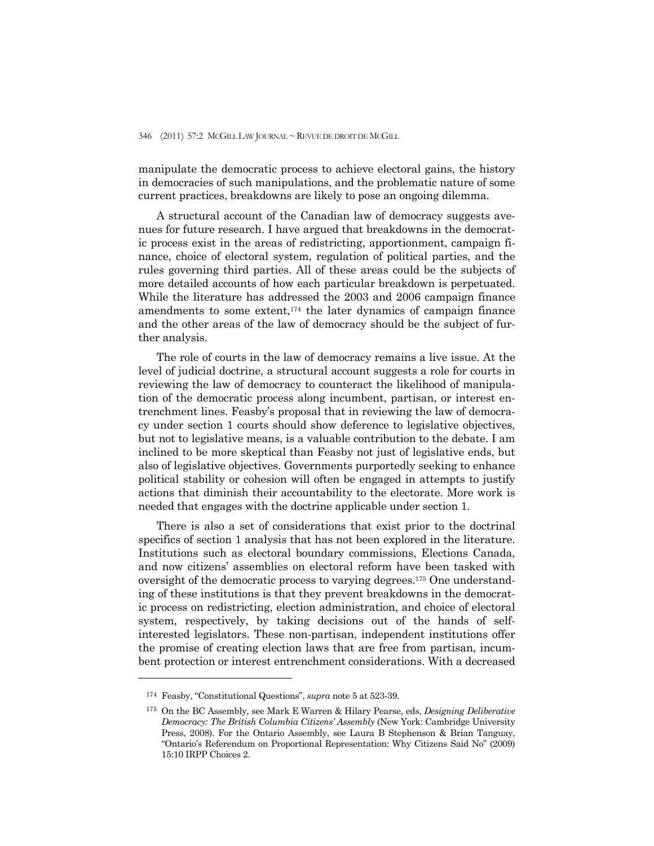manipulate the democratic process to achieve electoral gains, the history in democracies of such manipulations, and the problematic nature of some current practices, breakdowns are likely to pose an ongoing dilemma.

 A structural account of the Canadian law of democracy suggests avenues for future research. I have argued that breakdowns in the democratic process exist in the areas of redistricting, apportionment, campaign finance, choice of electoral system, regulation of political parties, and the rules governing third parties. All of these areas could be the subjects of more detailed accounts of how each particular breakdown is perpetuated. While the literature has addressed the 2003 and 2006 campaign finance amendments to some extent,174 the later dynamics of campaign finance and the other areas of the law of democracy should be the subject of further analysis.

 The role of courts in the law of democracy remains a live issue. At the level of judicial doctrine, a structural account suggests a role for courts in reviewing the law of democracy to counteract the likelihood of manipulation of the democratic process along incumbent, partisan, or interest entrenchment lines. Feasby's proposal that in reviewing the law of democracy under section 1 courts should show deference to legislative objectives, but not to legislative means, is a valuable contribution to the debate. I am inclined to be more skeptical than Feasby not just of legislative ends, but also of legislative objectives. Governments purportedly seeking to enhance political stability or cohesion will often be engaged in attempts to justify actions that diminish their accountability to the electorate. More work is needed that engages with the doctrine applicable under section 1.

 There is also a set of considerations that exist prior to the doctrinal specifics of section 1 analysis that has not been explored in the literature. Institutions such as electoral boundary commissions, Elections Canada, and now citizens' assemblies on electoral reform have been tasked with oversight of the democratic process to varying degrees.175 One understanding of these institutions is that they prevent breakdowns in the democratic process on redistricting, election administration, and choice of electoral system, respectively, by taking decisions out of the hands of selfinterested legislators. These non-partisan, independent institutions offer the promise of creating election laws that are free from partisan, incumbent protection or interest entrenchment considerations. With a decreased

<sup>174</sup> Feasby, "Constitutional Questions", *supra* note 5 at 523-39.

<sup>175</sup> On the BC Assembly, see Mark E Warren & Hilary Pearse, eds, *Designing Deliberative Democracy: The British Columbia Citizens' Assembly* (New York: Cambridge University Press, 2008). For the Ontario Assembly, see Laura B Stephenson & Brian Tanguay, "Ontario's Referendum on Proportional Representation: Why Citizens Said No" (2009) 15:10 IRPP Choices 2.